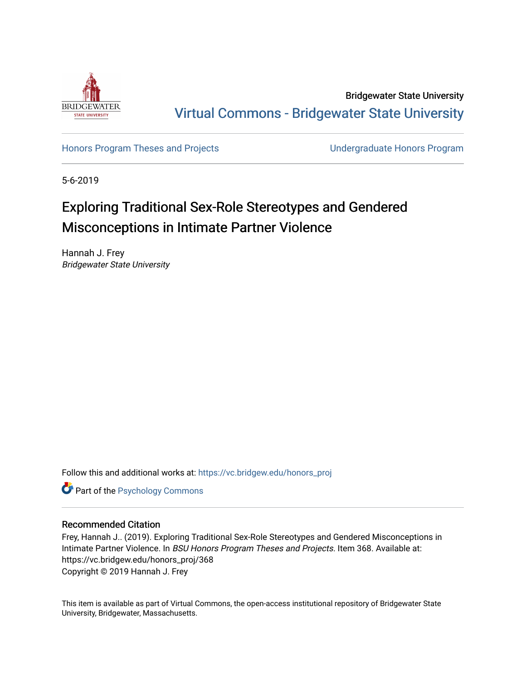

Bridgewater State University [Virtual Commons - Bridgewater State University](https://vc.bridgew.edu/) 

[Honors Program Theses and Projects](https://vc.bridgew.edu/honors_proj) [Undergraduate Honors Program](https://vc.bridgew.edu/honors) 

5-6-2019

# Exploring Traditional Sex-Role Stereotypes and Gendered Misconceptions in Intimate Partner Violence

Hannah J. Frey Bridgewater State University

Follow this and additional works at: [https://vc.bridgew.edu/honors\\_proj](https://vc.bridgew.edu/honors_proj?utm_source=vc.bridgew.edu%2Fhonors_proj%2F368&utm_medium=PDF&utm_campaign=PDFCoverPages)

**Part of the Psychology Commons** 

### Recommended Citation

Frey, Hannah J.. (2019). Exploring Traditional Sex-Role Stereotypes and Gendered Misconceptions in Intimate Partner Violence. In BSU Honors Program Theses and Projects. Item 368. Available at: https://vc.bridgew.edu/honors\_proj/368 Copyright © 2019 Hannah J. Frey

This item is available as part of Virtual Commons, the open-access institutional repository of Bridgewater State University, Bridgewater, Massachusetts.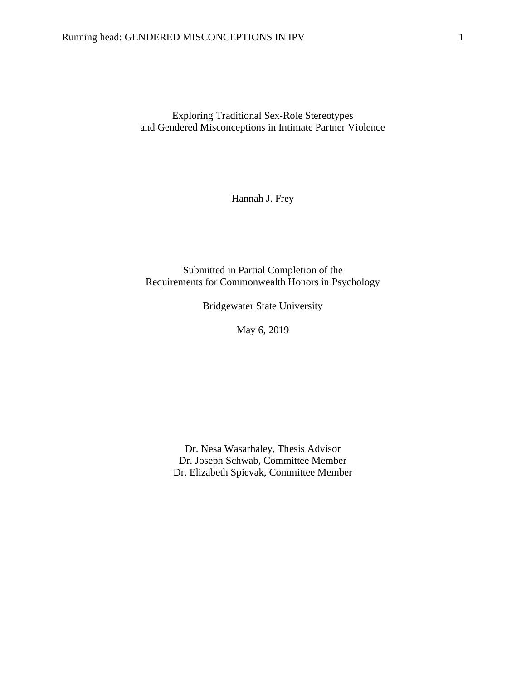Exploring Traditional Sex-Role Stereotypes and Gendered Misconceptions in Intimate Partner Violence

Hannah J. Frey

Submitted in Partial Completion of the Requirements for Commonwealth Honors in Psychology

Bridgewater State University

May 6, 2019

Dr. Nesa Wasarhaley, Thesis Advisor Dr. Joseph Schwab, Committee Member Dr. Elizabeth Spievak, Committee Member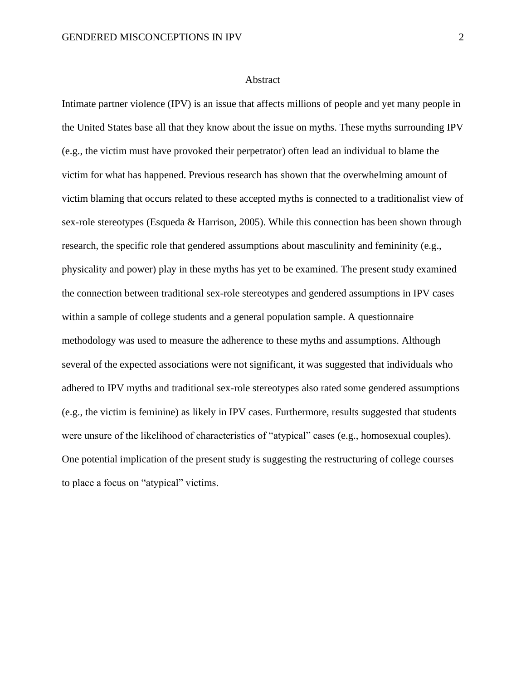#### Abstract

Intimate partner violence (IPV) is an issue that affects millions of people and yet many people in the United States base all that they know about the issue on myths. These myths surrounding IPV (e.g., the victim must have provoked their perpetrator) often lead an individual to blame the victim for what has happened. Previous research has shown that the overwhelming amount of victim blaming that occurs related to these accepted myths is connected to a traditionalist view of sex-role stereotypes (Esqueda & Harrison, 2005). While this connection has been shown through research, the specific role that gendered assumptions about masculinity and femininity (e.g., physicality and power) play in these myths has yet to be examined. The present study examined the connection between traditional sex-role stereotypes and gendered assumptions in IPV cases within a sample of college students and a general population sample. A questionnaire methodology was used to measure the adherence to these myths and assumptions. Although several of the expected associations were not significant, it was suggested that individuals who adhered to IPV myths and traditional sex-role stereotypes also rated some gendered assumptions (e.g., the victim is feminine) as likely in IPV cases. Furthermore, results suggested that students were unsure of the likelihood of characteristics of "atypical" cases (e.g., homosexual couples). One potential implication of the present study is suggesting the restructuring of college courses to place a focus on "atypical" victims.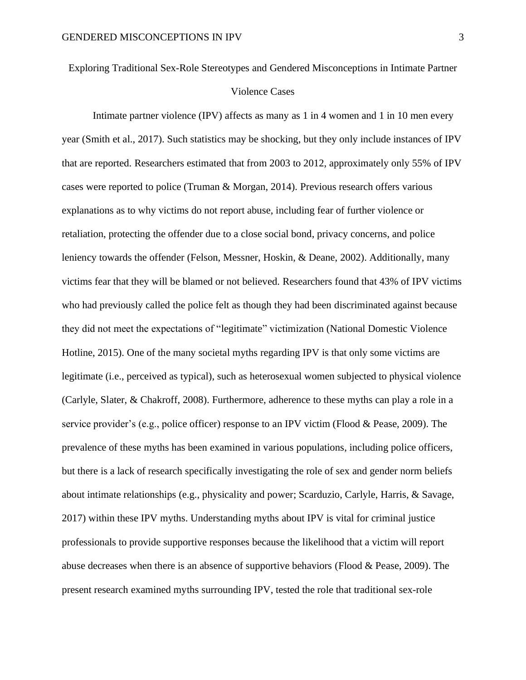Exploring Traditional Sex-Role Stereotypes and Gendered Misconceptions in Intimate Partner

#### Violence Cases

Intimate partner violence (IPV) affects as many as 1 in 4 women and 1 in 10 men every year (Smith et al., 2017). Such statistics may be shocking, but they only include instances of IPV that are reported. Researchers estimated that from 2003 to 2012, approximately only 55% of IPV cases were reported to police (Truman & Morgan, 2014). Previous research offers various explanations as to why victims do not report abuse, including fear of further violence or retaliation, protecting the offender due to a close social bond, privacy concerns, and police leniency towards the offender (Felson, Messner, Hoskin, & Deane, 2002). Additionally, many victims fear that they will be blamed or not believed. Researchers found that 43% of IPV victims who had previously called the police felt as though they had been discriminated against because they did not meet the expectations of "legitimate" victimization (National Domestic Violence Hotline, 2015). One of the many societal myths regarding IPV is that only some victims are legitimate (i.e., perceived as typical), such as heterosexual women subjected to physical violence (Carlyle, Slater, & Chakroff, 2008). Furthermore, adherence to these myths can play a role in a service provider's (e.g., police officer) response to an IPV victim (Flood & Pease, 2009). The prevalence of these myths has been examined in various populations, including police officers, but there is a lack of research specifically investigating the role of sex and gender norm beliefs about intimate relationships (e.g., physicality and power; Scarduzio, Carlyle, Harris, & Savage, 2017) within these IPV myths. Understanding myths about IPV is vital for criminal justice professionals to provide supportive responses because the likelihood that a victim will report abuse decreases when there is an absence of supportive behaviors (Flood & Pease, 2009). The present research examined myths surrounding IPV, tested the role that traditional sex-role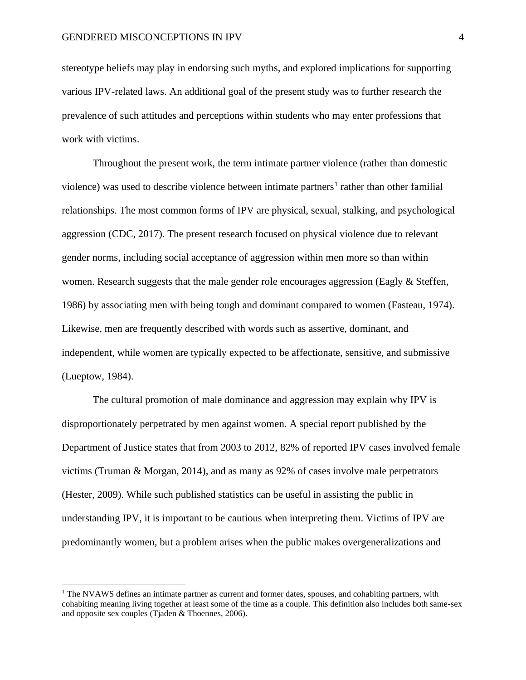stereotype beliefs may play in endorsing such myths, and explored implications for supporting various IPV-related laws. An additional goal of the present study was to further research the prevalence of such attitudes and perceptions within students who may enter professions that work with victims.

Throughout the present work, the term intimate partner violence (rather than domestic violence) was used to describe violence between intimate partners<sup>1</sup> rather than other familial relationships. The most common forms of IPV are physical, sexual, stalking, and psychological aggression (CDC, 2017). The present research focused on physical violence due to relevant gender norms, including social acceptance of aggression within men more so than within women. Research suggests that the male gender role encourages aggression (Eagly & Steffen, 1986) by associating men with being tough and dominant compared to women (Fasteau, 1974). Likewise, men are frequently described with words such as assertive, dominant, and independent, while women are typically expected to be affectionate, sensitive, and submissive (Lueptow, 1984).

The cultural promotion of male dominance and aggression may explain why IPV is disproportionately perpetrated by men against women. A special report published by the Department of Justice states that from 2003 to 2012, 82% of reported IPV cases involved female victims (Truman & Morgan, 2014), and as many as 92% of cases involve male perpetrators (Hester, 2009). While such published statistics can be useful in assisting the public in understanding IPV, it is important to be cautious when interpreting them. Victims of IPV are predominantly women, but a problem arises when the public makes overgeneralizations and

<sup>&</sup>lt;sup>1</sup> The NVAWS defines an intimate partner as current and former dates, spouses, and cohabiting partners, with cohabiting meaning living together at least some of the time as a couple. This definition also includes both same-sex and opposite sex couples (Tjaden & Thoennes, 2006).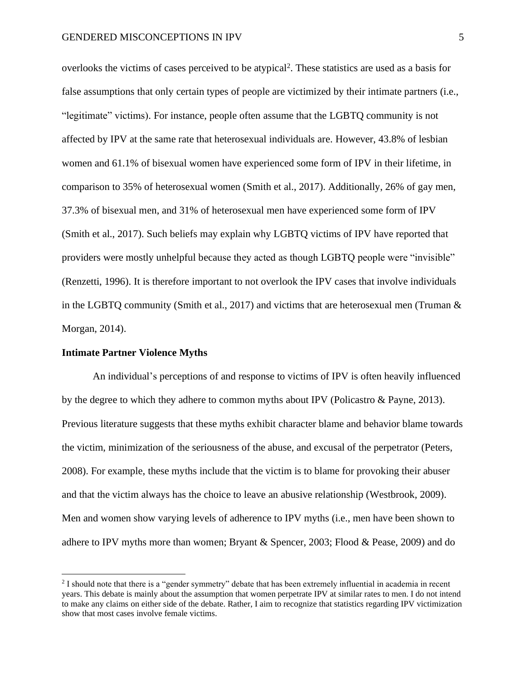overlooks the victims of cases perceived to be atypical<sup>2</sup>. These statistics are used as a basis for false assumptions that only certain types of people are victimized by their intimate partners (i.e., "legitimate" victims). For instance, people often assume that the LGBTQ community is not affected by IPV at the same rate that heterosexual individuals are. However, 43.8% of lesbian women and 61.1% of bisexual women have experienced some form of IPV in their lifetime, in comparison to 35% of heterosexual women (Smith et al., 2017). Additionally, 26% of gay men, 37.3% of bisexual men, and 31% of heterosexual men have experienced some form of IPV (Smith et al., 2017). Such beliefs may explain why LGBTQ victims of IPV have reported that providers were mostly unhelpful because they acted as though LGBTQ people were "invisible" (Renzetti, 1996). It is therefore important to not overlook the IPV cases that involve individuals in the LGBTQ community (Smith et al., 2017) and victims that are heterosexual men (Truman & Morgan, 2014).

#### **Intimate Partner Violence Myths**

An individual's perceptions of and response to victims of IPV is often heavily influenced by the degree to which they adhere to common myths about IPV (Policastro & Payne, 2013). Previous literature suggests that these myths exhibit character blame and behavior blame towards the victim, minimization of the seriousness of the abuse, and excusal of the perpetrator (Peters, 2008). For example, these myths include that the victim is to blame for provoking their abuser and that the victim always has the choice to leave an abusive relationship (Westbrook, 2009). Men and women show varying levels of adherence to IPV myths (i.e., men have been shown to adhere to IPV myths more than women; Bryant & Spencer, 2003; Flood & Pease, 2009) and do

<sup>&</sup>lt;sup>2</sup> I should note that there is a "gender symmetry" debate that has been extremely influential in academia in recent years. This debate is mainly about the assumption that women perpetrate IPV at similar rates to men. I do not intend to make any claims on either side of the debate. Rather, I aim to recognize that statistics regarding IPV victimization show that most cases involve female victims.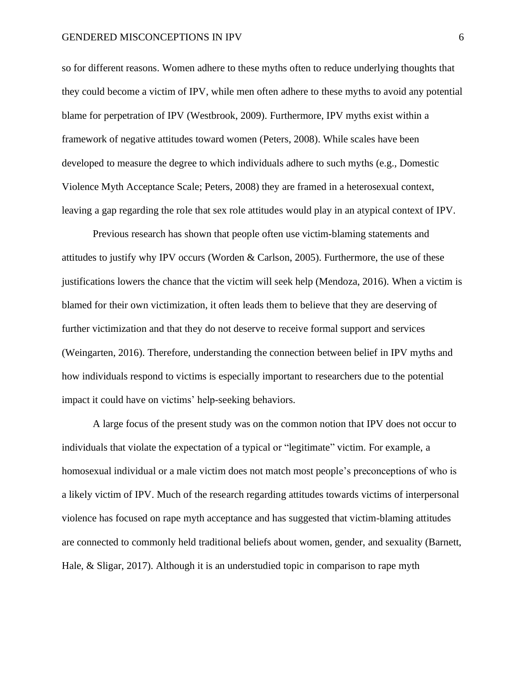so for different reasons. Women adhere to these myths often to reduce underlying thoughts that they could become a victim of IPV, while men often adhere to these myths to avoid any potential blame for perpetration of IPV (Westbrook, 2009). Furthermore, IPV myths exist within a framework of negative attitudes toward women (Peters, 2008). While scales have been developed to measure the degree to which individuals adhere to such myths (e.g., Domestic Violence Myth Acceptance Scale; Peters, 2008) they are framed in a heterosexual context, leaving a gap regarding the role that sex role attitudes would play in an atypical context of IPV.

Previous research has shown that people often use victim-blaming statements and attitudes to justify why IPV occurs (Worden & Carlson, 2005). Furthermore, the use of these justifications lowers the chance that the victim will seek help (Mendoza, 2016). When a victim is blamed for their own victimization, it often leads them to believe that they are deserving of further victimization and that they do not deserve to receive formal support and services (Weingarten, 2016). Therefore, understanding the connection between belief in IPV myths and how individuals respond to victims is especially important to researchers due to the potential impact it could have on victims' help-seeking behaviors.

A large focus of the present study was on the common notion that IPV does not occur to individuals that violate the expectation of a typical or "legitimate" victim. For example, a homosexual individual or a male victim does not match most people's preconceptions of who is a likely victim of IPV. Much of the research regarding attitudes towards victims of interpersonal violence has focused on rape myth acceptance and has suggested that victim-blaming attitudes are connected to commonly held traditional beliefs about women, gender, and sexuality (Barnett, Hale, & Sligar, 2017). Although it is an understudied topic in comparison to rape myth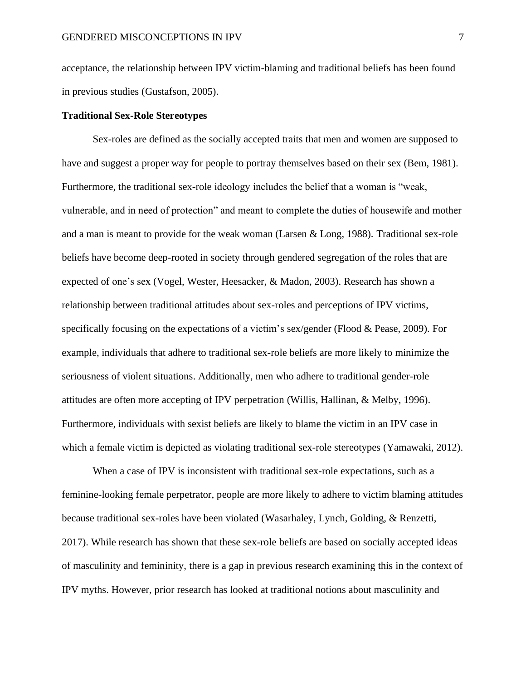acceptance, the relationship between IPV victim-blaming and traditional beliefs has been found in previous studies (Gustafson, 2005).

#### **Traditional Sex-Role Stereotypes**

Sex-roles are defined as the socially accepted traits that men and women are supposed to have and suggest a proper way for people to portray themselves based on their sex (Bem, 1981). Furthermore, the traditional sex-role ideology includes the belief that a woman is "weak, vulnerable, and in need of protection" and meant to complete the duties of housewife and mother and a man is meant to provide for the weak woman (Larsen & Long, 1988). Traditional sex-role beliefs have become deep-rooted in society through gendered segregation of the roles that are expected of one's sex (Vogel, Wester, Heesacker, & Madon, 2003). Research has shown a relationship between traditional attitudes about sex-roles and perceptions of IPV victims, specifically focusing on the expectations of a victim's sex/gender (Flood & Pease, 2009). For example, individuals that adhere to traditional sex-role beliefs are more likely to minimize the seriousness of violent situations. Additionally, men who adhere to traditional gender-role attitudes are often more accepting of IPV perpetration (Willis, Hallinan, & Melby, 1996). Furthermore, individuals with sexist beliefs are likely to blame the victim in an IPV case in which a female victim is depicted as violating traditional sex-role stereotypes (Yamawaki, 2012).

When a case of IPV is inconsistent with traditional sex-role expectations, such as a feminine-looking female perpetrator, people are more likely to adhere to victim blaming attitudes because traditional sex-roles have been violated (Wasarhaley, Lynch, Golding, & Renzetti, 2017). While research has shown that these sex-role beliefs are based on socially accepted ideas of masculinity and femininity, there is a gap in previous research examining this in the context of IPV myths. However, prior research has looked at traditional notions about masculinity and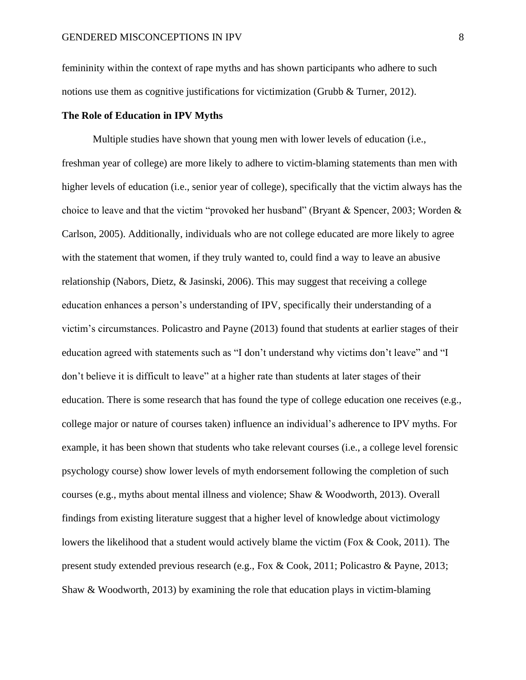femininity within the context of rape myths and has shown participants who adhere to such notions use them as cognitive justifications for victimization (Grubb & Turner, 2012).

#### **The Role of Education in IPV Myths**

Multiple studies have shown that young men with lower levels of education (i.e., freshman year of college) are more likely to adhere to victim-blaming statements than men with higher levels of education (i.e., senior year of college), specifically that the victim always has the choice to leave and that the victim "provoked her husband" (Bryant & Spencer, 2003; Worden & Carlson, 2005). Additionally, individuals who are not college educated are more likely to agree with the statement that women, if they truly wanted to, could find a way to leave an abusive relationship (Nabors, Dietz, & Jasinski, 2006). This may suggest that receiving a college education enhances a person's understanding of IPV, specifically their understanding of a victim's circumstances. Policastro and Payne (2013) found that students at earlier stages of their education agreed with statements such as "I don't understand why victims don't leave" and "I don't believe it is difficult to leave" at a higher rate than students at later stages of their education. There is some research that has found the type of college education one receives (e.g., college major or nature of courses taken) influence an individual's adherence to IPV myths. For example, it has been shown that students who take relevant courses (i.e., a college level forensic psychology course) show lower levels of myth endorsement following the completion of such courses (e.g., myths about mental illness and violence; Shaw & Woodworth, 2013). Overall findings from existing literature suggest that a higher level of knowledge about victimology lowers the likelihood that a student would actively blame the victim (Fox & Cook, 2011). The present study extended previous research (e.g., Fox & Cook, 2011; Policastro & Payne, 2013; Shaw & Woodworth, 2013) by examining the role that education plays in victim-blaming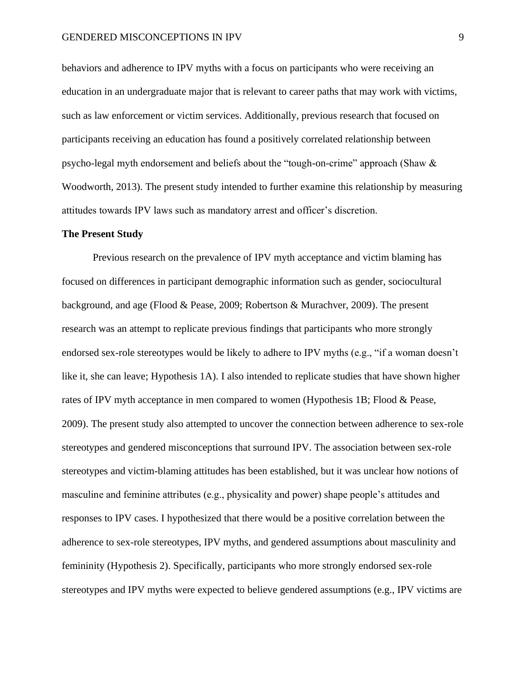behaviors and adherence to IPV myths with a focus on participants who were receiving an education in an undergraduate major that is relevant to career paths that may work with victims, such as law enforcement or victim services. Additionally, previous research that focused on participants receiving an education has found a positively correlated relationship between psycho-legal myth endorsement and beliefs about the "tough-on-crime" approach (Shaw & Woodworth, 2013). The present study intended to further examine this relationship by measuring attitudes towards IPV laws such as mandatory arrest and officer's discretion.

#### **The Present Study**

Previous research on the prevalence of IPV myth acceptance and victim blaming has focused on differences in participant demographic information such as gender, sociocultural background, and age (Flood & Pease, 2009; Robertson & Murachver, 2009). The present research was an attempt to replicate previous findings that participants who more strongly endorsed sex-role stereotypes would be likely to adhere to IPV myths (e.g., "if a woman doesn't like it, she can leave; Hypothesis 1A). I also intended to replicate studies that have shown higher rates of IPV myth acceptance in men compared to women (Hypothesis 1B; Flood & Pease, 2009). The present study also attempted to uncover the connection between adherence to sex-role stereotypes and gendered misconceptions that surround IPV. The association between sex-role stereotypes and victim-blaming attitudes has been established, but it was unclear how notions of masculine and feminine attributes (e.g., physicality and power) shape people's attitudes and responses to IPV cases. I hypothesized that there would be a positive correlation between the adherence to sex-role stereotypes, IPV myths, and gendered assumptions about masculinity and femininity (Hypothesis 2). Specifically, participants who more strongly endorsed sex-role stereotypes and IPV myths were expected to believe gendered assumptions (e.g., IPV victims are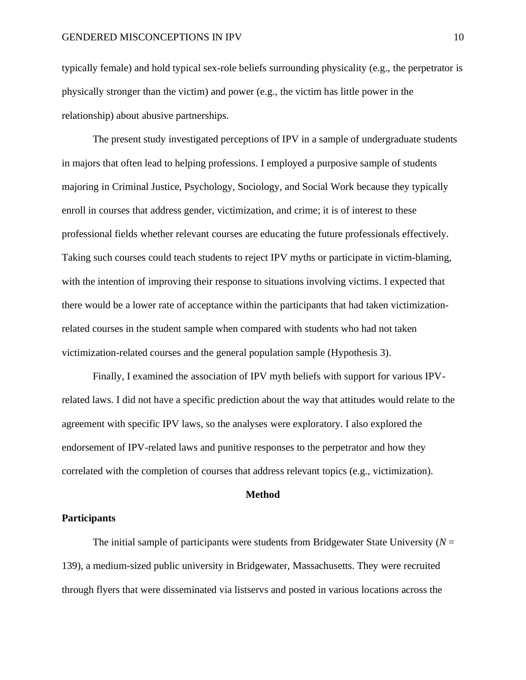typically female) and hold typical sex-role beliefs surrounding physicality (e.g., the perpetrator is physically stronger than the victim) and power (e.g., the victim has little power in the relationship) about abusive partnerships.

The present study investigated perceptions of IPV in a sample of undergraduate students in majors that often lead to helping professions. I employed a purposive sample of students majoring in Criminal Justice, Psychology, Sociology, and Social Work because they typically enroll in courses that address gender, victimization, and crime; it is of interest to these professional fields whether relevant courses are educating the future professionals effectively. Taking such courses could teach students to reject IPV myths or participate in victim-blaming, with the intention of improving their response to situations involving victims. I expected that there would be a lower rate of acceptance within the participants that had taken victimizationrelated courses in the student sample when compared with students who had not taken victimization-related courses and the general population sample (Hypothesis 3).

Finally, I examined the association of IPV myth beliefs with support for various IPVrelated laws. I did not have a specific prediction about the way that attitudes would relate to the agreement with specific IPV laws, so the analyses were exploratory. I also explored the endorsement of IPV-related laws and punitive responses to the perpetrator and how they correlated with the completion of courses that address relevant topics (e.g., victimization).

#### **Method**

#### **Participants**

The initial sample of participants were students from Bridgewater State University  $(N =$ 139), a medium-sized public university in Bridgewater, Massachusetts. They were recruited through flyers that were disseminated via listservs and posted in various locations across the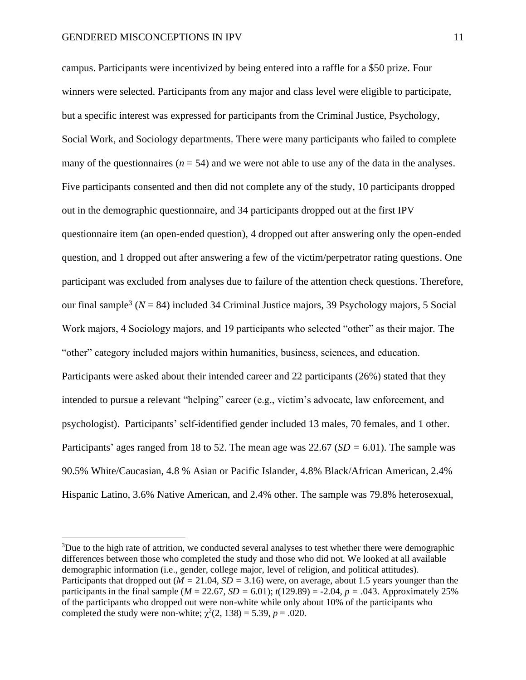campus. Participants were incentivized by being entered into a raffle for a \$50 prize. Four winners were selected. Participants from any major and class level were eligible to participate, but a specific interest was expressed for participants from the Criminal Justice, Psychology, Social Work, and Sociology departments. There were many participants who failed to complete many of the questionnaires ( $n = 54$ ) and we were not able to use any of the data in the analyses. Five participants consented and then did not complete any of the study, 10 participants dropped out in the demographic questionnaire, and 34 participants dropped out at the first IPV questionnaire item (an open-ended question), 4 dropped out after answering only the open-ended question, and 1 dropped out after answering a few of the victim/perpetrator rating questions. One participant was excluded from analyses due to failure of the attention check questions. Therefore, our final sample<sup>3</sup> ( $N = 84$ ) included 34 Criminal Justice majors, 39 Psychology majors, 5 Social Work majors, 4 Sociology majors, and 19 participants who selected "other" as their major. The "other" category included majors within humanities, business, sciences, and education. Participants were asked about their intended career and 22 participants (26%) stated that they intended to pursue a relevant "helping" career (e.g., victim's advocate, law enforcement, and psychologist). Participants' self-identified gender included 13 males, 70 females, and 1 other. Participants' ages ranged from 18 to 52. The mean age was 22.67 (*SD =* 6.01). The sample was 90.5% White/Caucasian, 4.8 % Asian or Pacific Islander, 4.8% Black/African American, 2.4% Hispanic Latino, 3.6% Native American, and 2.4% other. The sample was 79.8% heterosexual,

<sup>&</sup>lt;sup>3</sup>Due to the high rate of attrition, we conducted several analyses to test whether there were demographic differences between those who completed the study and those who did not. We looked at all available demographic information (i.e., gender, college major, level of religion, and political attitudes). Participants that dropped out ( $M = 21.04$ ,  $SD = 3.16$ ) were, on average, about 1.5 years younger than the participants in the final sample ( $M = 22.67$ ,  $SD = 6.01$ );  $t(129.89) = -2.04$ ,  $p = .043$ . Approximately 25% of the participants who dropped out were non-white while only about 10% of the participants who completed the study were non-white;  $\chi^2(2, 138) = 5.39$ ,  $p = .020$ .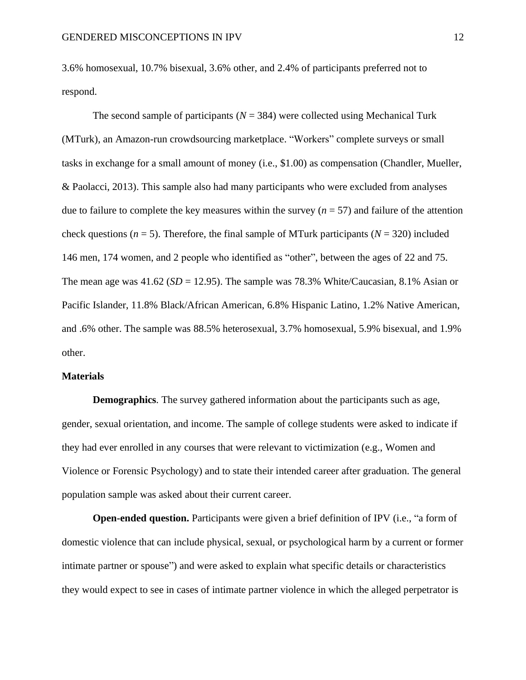3.6% homosexual, 10.7% bisexual, 3.6% other, and 2.4% of participants preferred not to respond.

The second sample of participants  $(N = 384)$  were collected using Mechanical Turk (MTurk), an Amazon-run crowdsourcing marketplace. "Workers" complete surveys or small tasks in exchange for a small amount of money (i.e., \$1.00) as compensation (Chandler, Mueller, & Paolacci, 2013). This sample also had many participants who were excluded from analyses due to failure to complete the key measures within the survey  $(n = 57)$  and failure of the attention check questions ( $n = 5$ ). Therefore, the final sample of MTurk participants ( $N = 320$ ) included 146 men, 174 women, and 2 people who identified as "other", between the ages of 22 and 75. The mean age was  $41.62$  (*SD* = 12.95). The sample was 78.3% White/Caucasian, 8.1% Asian or Pacific Islander, 11.8% Black/African American, 6.8% Hispanic Latino, 1.2% Native American, and .6% other. The sample was 88.5% heterosexual, 3.7% homosexual, 5.9% bisexual, and 1.9% other.

#### **Materials**

**Demographics***.* The survey gathered information about the participants such as age, gender, sexual orientation, and income. The sample of college students were asked to indicate if they had ever enrolled in any courses that were relevant to victimization (e.g., Women and Violence or Forensic Psychology) and to state their intended career after graduation. The general population sample was asked about their current career.

**Open-ended question.** Participants were given a brief definition of IPV (i.e., "a form of domestic violence that can include physical, sexual, or psychological harm by a current or former intimate partner or spouse") and were asked to explain what specific details or characteristics they would expect to see in cases of intimate partner violence in which the alleged perpetrator is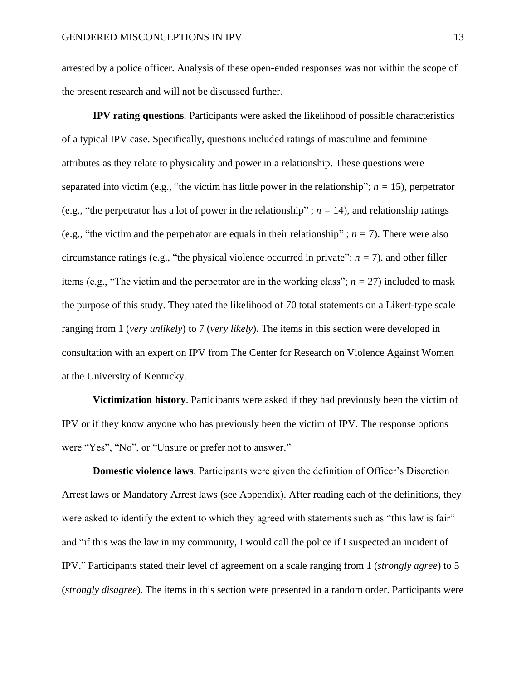arrested by a police officer. Analysis of these open-ended responses was not within the scope of the present research and will not be discussed further.

**IPV rating questions***.* Participants were asked the likelihood of possible characteristics of a typical IPV case. Specifically, questions included ratings of masculine and feminine attributes as they relate to physicality and power in a relationship. These questions were separated into victim (e.g., "the victim has little power in the relationship";  $n = 15$ ), perpetrator (e.g., "the perpetrator has a lot of power in the relationship" ;  $n = 14$ ), and relationship ratings (e.g., "the victim and the perpetrator are equals in their relationship" ;  $n = 7$ ). There were also circumstance ratings (e.g., "the physical violence occurred in private";  $n = 7$ ). and other filler items (e.g., "The victim and the perpetrator are in the working class";  $n = 27$ ) included to mask the purpose of this study. They rated the likelihood of 70 total statements on a Likert-type scale ranging from 1 (*very unlikely*) to 7 (*very likely*). The items in this section were developed in consultation with an expert on IPV from The Center for Research on Violence Against Women at the University of Kentucky.

**Victimization history**. Participants were asked if they had previously been the victim of IPV or if they know anyone who has previously been the victim of IPV. The response options were "Yes", "No", or "Unsure or prefer not to answer."

**Domestic violence laws**. Participants were given the definition of Officer's Discretion Arrest laws or Mandatory Arrest laws (see Appendix). After reading each of the definitions, they were asked to identify the extent to which they agreed with statements such as "this law is fair" and "if this was the law in my community, I would call the police if I suspected an incident of IPV." Participants stated their level of agreement on a scale ranging from 1 (*strongly agree*) to 5 (*strongly disagree*). The items in this section were presented in a random order. Participants were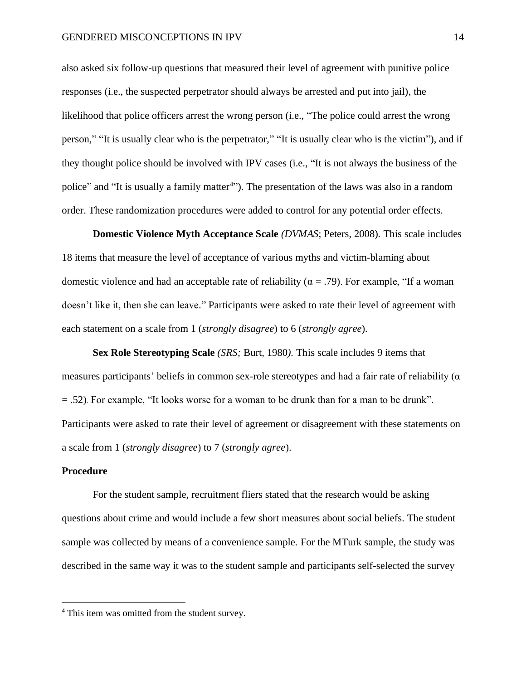also asked six follow-up questions that measured their level of agreement with punitive police responses (i.e., the suspected perpetrator should always be arrested and put into jail), the likelihood that police officers arrest the wrong person (i.e., "The police could arrest the wrong person," "It is usually clear who is the perpetrator," "It is usually clear who is the victim"), and if they thought police should be involved with IPV cases (i.e., "It is not always the business of the police" and "It is usually a family matter<sup>4</sup>"). The presentation of the laws was also in a random order. These randomization procedures were added to control for any potential order effects.

**Domestic Violence Myth Acceptance Scale** *(DVMAS*; Peters, 2008)*.* This scale includes 18 items that measure the level of acceptance of various myths and victim-blaming about domestic violence and had an acceptable rate of reliability ( $\alpha = .79$ ). For example, "If a woman doesn't like it, then she can leave." Participants were asked to rate their level of agreement with each statement on a scale from 1 (*strongly disagree*) to 6 (*strongly agree*).

**Sex Role Stereotyping Scale** *(SRS;* Burt*,* 1980*).* This scale includes 9 items that measures participants' beliefs in common sex-role stereotypes and had a fair rate of reliability ( $\alpha$ ) = .52). For example, "It looks worse for a woman to be drunk than for a man to be drunk". Participants were asked to rate their level of agreement or disagreement with these statements on a scale from 1 (*strongly disagree*) to 7 (*strongly agree*).

#### **Procedure**

For the student sample, recruitment fliers stated that the research would be asking questions about crime and would include a few short measures about social beliefs. The student sample was collected by means of a convenience sample. For the MTurk sample, the study was described in the same way it was to the student sample and participants self-selected the survey

<sup>4</sup> This item was omitted from the student survey.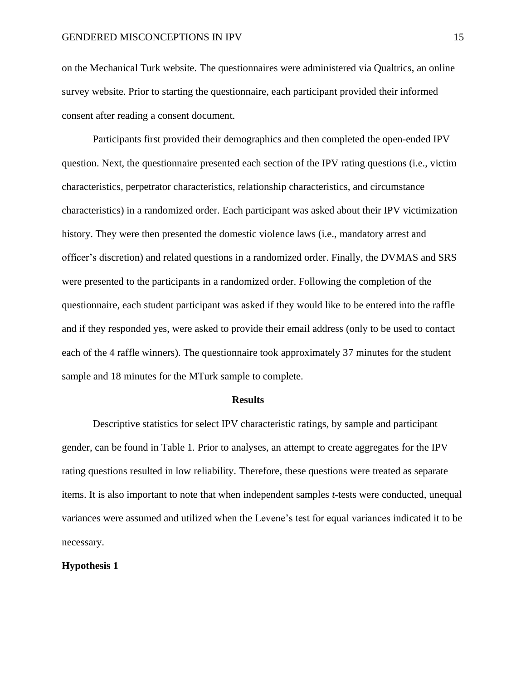on the Mechanical Turk website. The questionnaires were administered via Qualtrics, an online survey website. Prior to starting the questionnaire, each participant provided their informed consent after reading a consent document.

Participants first provided their demographics and then completed the open-ended IPV question. Next, the questionnaire presented each section of the IPV rating questions (i.e., victim characteristics, perpetrator characteristics, relationship characteristics, and circumstance characteristics) in a randomized order. Each participant was asked about their IPV victimization history. They were then presented the domestic violence laws (i.e., mandatory arrest and officer's discretion) and related questions in a randomized order. Finally, the DVMAS and SRS were presented to the participants in a randomized order. Following the completion of the questionnaire, each student participant was asked if they would like to be entered into the raffle and if they responded yes, were asked to provide their email address (only to be used to contact each of the 4 raffle winners). The questionnaire took approximately 37 minutes for the student sample and 18 minutes for the MTurk sample to complete.

#### **Results**

Descriptive statistics for select IPV characteristic ratings, by sample and participant gender, can be found in Table 1. Prior to analyses, an attempt to create aggregates for the IPV rating questions resulted in low reliability. Therefore, these questions were treated as separate items. It is also important to note that when independent samples *t*-tests were conducted, unequal variances were assumed and utilized when the Levene's test for equal variances indicated it to be necessary.

#### **Hypothesis 1**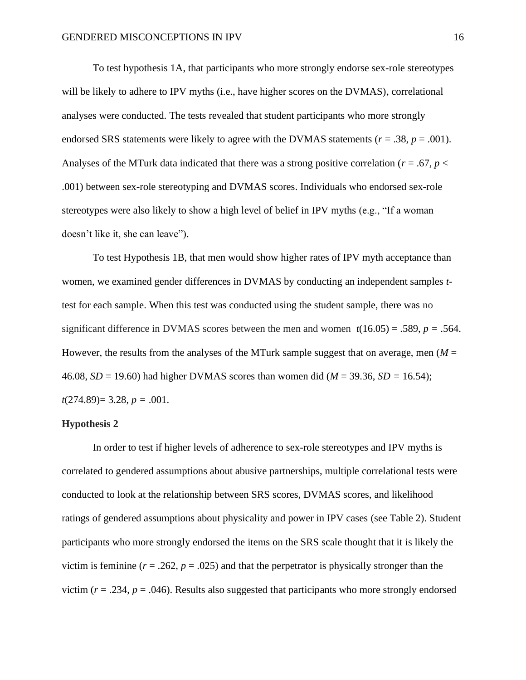To test hypothesis 1A, that participants who more strongly endorse sex-role stereotypes will be likely to adhere to IPV myths (i.e., have higher scores on the DVMAS), correlational analyses were conducted. The tests revealed that student participants who more strongly endorsed SRS statements were likely to agree with the DVMAS statements ( $r = .38$ ,  $p = .001$ ). Analyses of the MTurk data indicated that there was a strong positive correlation ( $r = .67$ ,  $p <$ .001) between sex-role stereotyping and DVMAS scores. Individuals who endorsed sex-role stereotypes were also likely to show a high level of belief in IPV myths (e.g., "If a woman doesn't like it, she can leave").

To test Hypothesis 1B, that men would show higher rates of IPV myth acceptance than women, we examined gender differences in DVMAS by conducting an independent samples *t*test for each sample. When this test was conducted using the student sample, there was no significant difference in DVMAS scores between the men and women  $t(16.05) = .589$ ,  $p = .564$ . However, the results from the analyses of the MTurk sample suggest that on average, men  $(M =$ 46.08, *SD* = 19.60) had higher DVMAS scores than women did (*M* = 39.36, *SD =* 16.54);  $t(274.89) = 3.28, p = .001.$ 

#### **Hypothesis 2**

In order to test if higher levels of adherence to sex-role stereotypes and IPV myths is correlated to gendered assumptions about abusive partnerships, multiple correlational tests were conducted to look at the relationship between SRS scores, DVMAS scores, and likelihood ratings of gendered assumptions about physicality and power in IPV cases (see Table 2). Student participants who more strongly endorsed the items on the SRS scale thought that it is likely the victim is feminine ( $r = .262$ ,  $p = .025$ ) and that the perpetrator is physically stronger than the victim ( $r = .234$ ,  $p = .046$ ). Results also suggested that participants who more strongly endorsed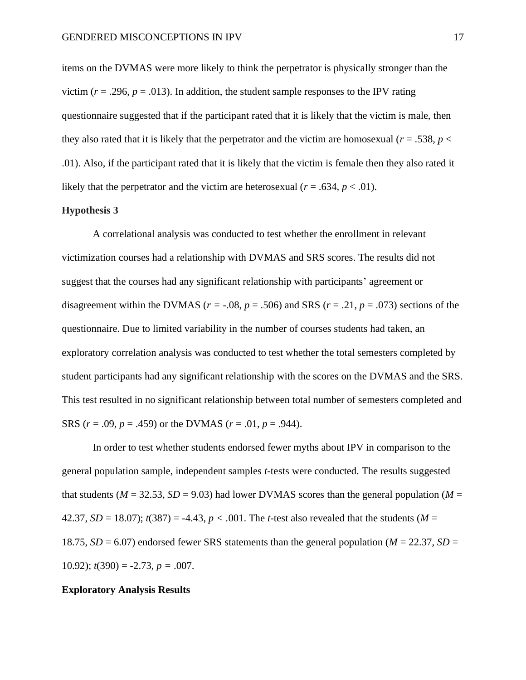items on the DVMAS were more likely to think the perpetrator is physically stronger than the victim ( $r = .296$ ,  $p = .013$ ). In addition, the student sample responses to the IPV rating questionnaire suggested that if the participant rated that it is likely that the victim is male, then they also rated that it is likely that the perpetrator and the victim are homosexual ( $r = .538$ ,  $p <$ .01). Also, if the participant rated that it is likely that the victim is female then they also rated it likely that the perpetrator and the victim are heterosexual ( $r = .634$ ,  $p < .01$ ).

#### **Hypothesis 3**

A correlational analysis was conducted to test whether the enrollment in relevant victimization courses had a relationship with DVMAS and SRS scores. The results did not suggest that the courses had any significant relationship with participants' agreement or disagreement within the DVMAS ( $r = -0.08$ ,  $p = 0.506$ ) and SRS ( $r = 0.21$ ,  $p = 0.073$ ) sections of the questionnaire. Due to limited variability in the number of courses students had taken, an exploratory correlation analysis was conducted to test whether the total semesters completed by student participants had any significant relationship with the scores on the DVMAS and the SRS. This test resulted in no significant relationship between total number of semesters completed and SRS ( $r = .09$ ,  $p = .459$ ) or the DVMAS ( $r = .01$ ,  $p = .944$ ).

In order to test whether students endorsed fewer myths about IPV in comparison to the general population sample, independent samples *t*-tests were conducted. The results suggested that students ( $M = 32.53$ ,  $SD = 9.03$ ) had lower DVMAS scores than the general population ( $M =$ 42.37, *SD* = 18.07);  $t(387) = -4.43$ ,  $p < .001$ . The *t*-test also revealed that the students (*M* = 18.75,  $SD = 6.07$ ) endorsed fewer SRS statements than the general population ( $M = 22.37$ ,  $SD =$ 10.92);  $t(390) = -2.73$ ,  $p = .007$ .

#### **Exploratory Analysis Results**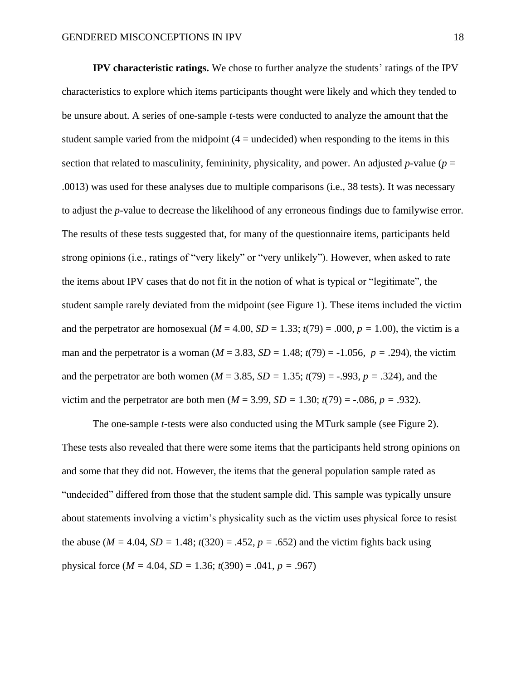**IPV characteristic ratings.** We chose to further analyze the students' ratings of the IPV characteristics to explore which items participants thought were likely and which they tended to be unsure about. A series of one-sample *t*-tests were conducted to analyze the amount that the student sample varied from the midpoint  $(4 =$  undecided) when responding to the items in this section that related to masculinity, femininity, physicality, and power. An adjusted *p*-value ( $p =$ .0013) was used for these analyses due to multiple comparisons (i.e., 38 tests). It was necessary to adjust the *p*-value to decrease the likelihood of any erroneous findings due to familywise error. The results of these tests suggested that, for many of the questionnaire items, participants held strong opinions (i.e., ratings of "very likely" or "very unlikely"). However, when asked to rate the items about IPV cases that do not fit in the notion of what is typical or "legitimate", the student sample rarely deviated from the midpoint (see Figure 1). These items included the victim and the perpetrator are homosexual  $(M = 4.00, SD = 1.33; t(79) = .000, p = 1.00)$ , the victim is a man and the perpetrator is a woman ( $M = 3.83$ ,  $SD = 1.48$ ;  $t(79) = -1.056$ ,  $p = .294$ ), the victim and the perpetrator are both women ( $M = 3.85$ ,  $SD = 1.35$ ;  $t(79) = -.993$ ,  $p = .324$ ), and the victim and the perpetrator are both men ( $M = 3.99$ ,  $SD = 1.30$ ;  $t(79) = -.086$ ,  $p = .932$ ).

The one-sample *t*-tests were also conducted using the MTurk sample (see Figure 2). These tests also revealed that there were some items that the participants held strong opinions on and some that they did not. However, the items that the general population sample rated as "undecided" differed from those that the student sample did. This sample was typically unsure about statements involving a victim's physicality such as the victim uses physical force to resist the abuse ( $M = 4.04$ ,  $SD = 1.48$ ;  $t(320) = .452$ ,  $p = .652$ ) and the victim fights back using physical force ( $M = 4.04$ ,  $SD = 1.36$ ;  $t(390) = .041$ ,  $p = .967$ )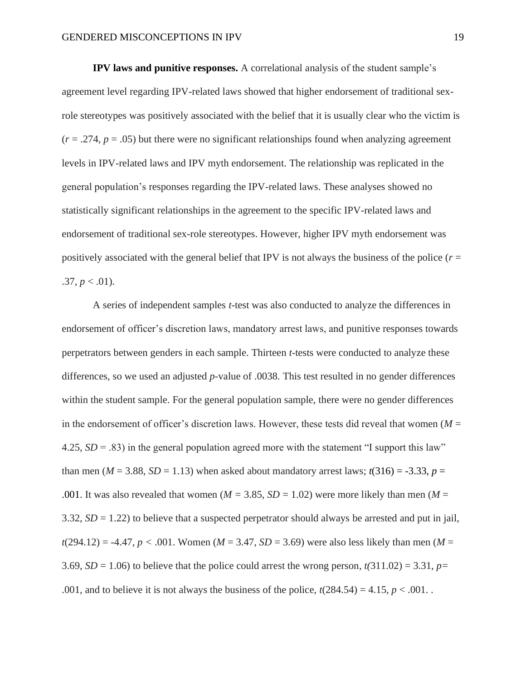**IPV laws and punitive responses.** A correlational analysis of the student sample's agreement level regarding IPV-related laws showed that higher endorsement of traditional sexrole stereotypes was positively associated with the belief that it is usually clear who the victim is  $(r = .274, p = .05)$  but there were no significant relationships found when analyzing agreement levels in IPV-related laws and IPV myth endorsement. The relationship was replicated in the general population's responses regarding the IPV-related laws. These analyses showed no statistically significant relationships in the agreement to the specific IPV-related laws and endorsement of traditional sex-role stereotypes. However, higher IPV myth endorsement was positively associated with the general belief that IPV is not always the business of the police  $(r =$  $.37, p < .01$ ).

A series of independent samples *t*-test was also conducted to analyze the differences in endorsement of officer's discretion laws, mandatory arrest laws, and punitive responses towards perpetrators between genders in each sample. Thirteen *t-*tests were conducted to analyze these differences, so we used an adjusted *p*-value of .0038. This test resulted in no gender differences within the student sample. For the general population sample, there were no gender differences in the endorsement of officer's discretion laws. However, these tests did reveal that women  $(M =$ 4.25,  $SD = .83$ ) in the general population agreed more with the statement "I support this law" than men ( $M = 3.88$ ,  $SD = 1.13$ ) when asked about mandatory arrest laws;  $t(316) = -3.33$ ,  $p =$ .001. It was also revealed that women ( $M = 3.85$ ,  $SD = 1.02$ ) were more likely than men ( $M =$ 3.32, *SD* = 1.22) to believe that a suspected perpetrator should always be arrested and put in jail,  $t(294.12) = -4.47$ ,  $p < .001$ . Women ( $M = 3.47$ ,  $SD = 3.69$ ) were also less likely than men ( $M =$ 3.69, *SD* = 1.06) to believe that the police could arrest the wrong person,  $t(311.02) = 3.31$ ,  $p=$ .001, and to believe it is not always the business of the police,  $t(284.54) = 4.15$ ,  $p < .001$ .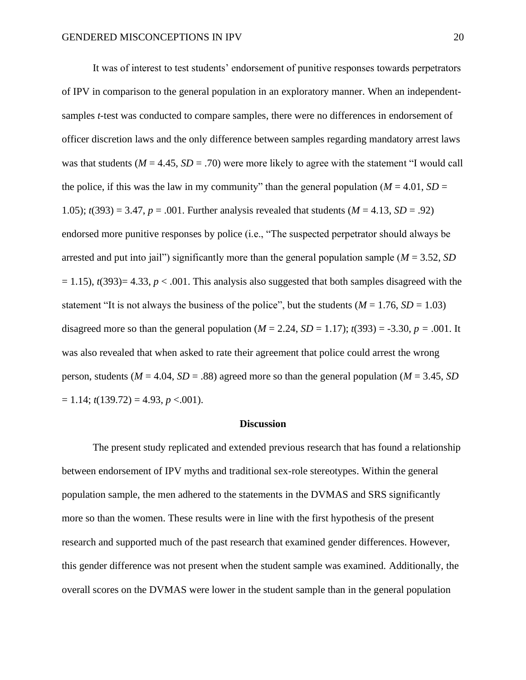It was of interest to test students' endorsement of punitive responses towards perpetrators of IPV in comparison to the general population in an exploratory manner. When an independentsamples *t*-test was conducted to compare samples, there were no differences in endorsement of officer discretion laws and the only difference between samples regarding mandatory arrest laws was that students ( $M = 4.45$ ,  $SD = .70$ ) were more likely to agree with the statement "I would call the police, if this was the law in my community" than the general population ( $M = 4.01$ ,  $SD =$ 1.05);  $t(393) = 3.47$ ,  $p = .001$ . Further analysis revealed that students ( $M = 4.13$ ,  $SD = .92$ ) endorsed more punitive responses by police (i.e., "The suspected perpetrator should always be arrested and put into jail") significantly more than the general population sample (*M* = 3.52, *SD*  $= 1.15$ ),  $t(393)= 4.33$ ,  $p < .001$ . This analysis also suggested that both samples disagreed with the statement "It is not always the business of the police", but the students  $(M = 1.76, SD = 1.03)$ disagreed more so than the general population  $(M = 2.24, SD = 1.17)$ ;  $t(393) = -3.30, p = .001$ . It was also revealed that when asked to rate their agreement that police could arrest the wrong person, students ( $M = 4.04$ ,  $SD = .88$ ) agreed more so than the general population ( $M = 3.45$ ,  $SD$ )  $= 1.14$ ;  $t(139.72) = 4.93$ ,  $p < .001$ ).

#### **Discussion**

The present study replicated and extended previous research that has found a relationship between endorsement of IPV myths and traditional sex-role stereotypes. Within the general population sample, the men adhered to the statements in the DVMAS and SRS significantly more so than the women. These results were in line with the first hypothesis of the present research and supported much of the past research that examined gender differences. However, this gender difference was not present when the student sample was examined. Additionally, the overall scores on the DVMAS were lower in the student sample than in the general population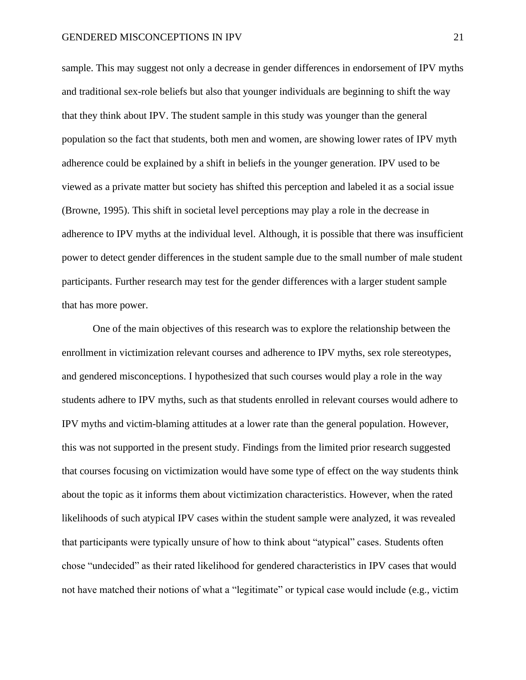sample. This may suggest not only a decrease in gender differences in endorsement of IPV myths and traditional sex-role beliefs but also that younger individuals are beginning to shift the way that they think about IPV. The student sample in this study was younger than the general population so the fact that students, both men and women, are showing lower rates of IPV myth adherence could be explained by a shift in beliefs in the younger generation. IPV used to be viewed as a private matter but society has shifted this perception and labeled it as a social issue (Browne, 1995). This shift in societal level perceptions may play a role in the decrease in adherence to IPV myths at the individual level. Although, it is possible that there was insufficient power to detect gender differences in the student sample due to the small number of male student participants. Further research may test for the gender differences with a larger student sample that has more power.

One of the main objectives of this research was to explore the relationship between the enrollment in victimization relevant courses and adherence to IPV myths, sex role stereotypes, and gendered misconceptions. I hypothesized that such courses would play a role in the way students adhere to IPV myths, such as that students enrolled in relevant courses would adhere to IPV myths and victim-blaming attitudes at a lower rate than the general population. However, this was not supported in the present study. Findings from the limited prior research suggested that courses focusing on victimization would have some type of effect on the way students think about the topic as it informs them about victimization characteristics. However, when the rated likelihoods of such atypical IPV cases within the student sample were analyzed, it was revealed that participants were typically unsure of how to think about "atypical" cases. Students often chose "undecided" as their rated likelihood for gendered characteristics in IPV cases that would not have matched their notions of what a "legitimate" or typical case would include (e.g., victim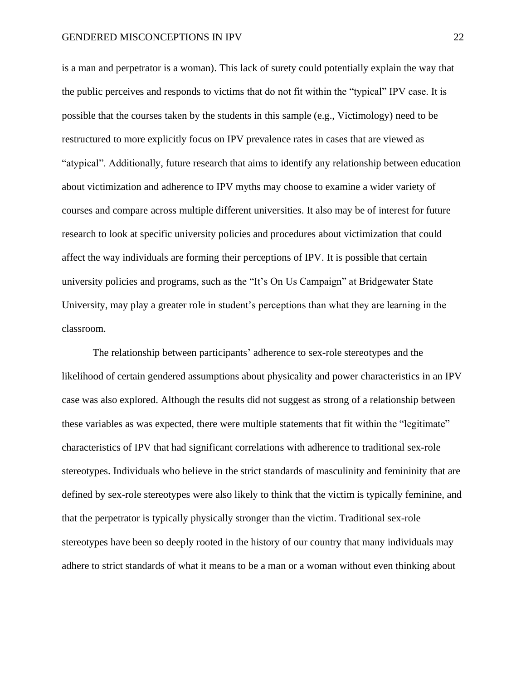is a man and perpetrator is a woman). This lack of surety could potentially explain the way that the public perceives and responds to victims that do not fit within the "typical" IPV case. It is possible that the courses taken by the students in this sample (e.g., Victimology) need to be restructured to more explicitly focus on IPV prevalence rates in cases that are viewed as "atypical". Additionally, future research that aims to identify any relationship between education about victimization and adherence to IPV myths may choose to examine a wider variety of courses and compare across multiple different universities. It also may be of interest for future research to look at specific university policies and procedures about victimization that could affect the way individuals are forming their perceptions of IPV. It is possible that certain university policies and programs, such as the "It's On Us Campaign" at Bridgewater State University, may play a greater role in student's perceptions than what they are learning in the classroom.

The relationship between participants' adherence to sex-role stereotypes and the likelihood of certain gendered assumptions about physicality and power characteristics in an IPV case was also explored. Although the results did not suggest as strong of a relationship between these variables as was expected, there were multiple statements that fit within the "legitimate" characteristics of IPV that had significant correlations with adherence to traditional sex-role stereotypes. Individuals who believe in the strict standards of masculinity and femininity that are defined by sex-role stereotypes were also likely to think that the victim is typically feminine, and that the perpetrator is typically physically stronger than the victim. Traditional sex-role stereotypes have been so deeply rooted in the history of our country that many individuals may adhere to strict standards of what it means to be a man or a woman without even thinking about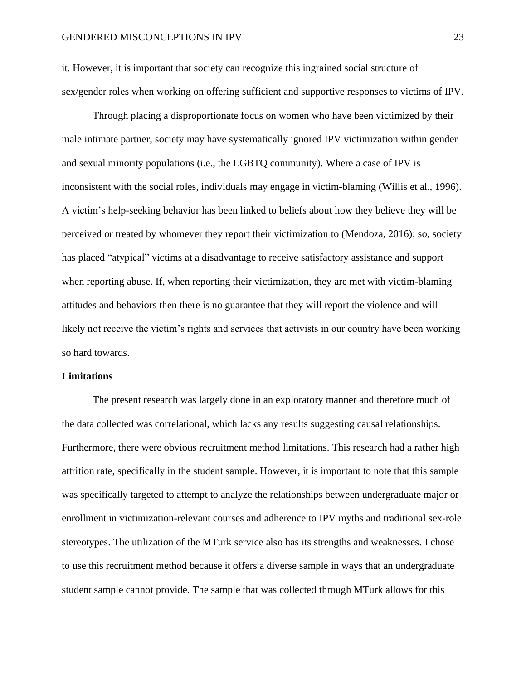it. However, it is important that society can recognize this ingrained social structure of sex/gender roles when working on offering sufficient and supportive responses to victims of IPV.

Through placing a disproportionate focus on women who have been victimized by their male intimate partner, society may have systematically ignored IPV victimization within gender and sexual minority populations (i.e., the LGBTQ community). Where a case of IPV is inconsistent with the social roles, individuals may engage in victim-blaming (Willis et al., 1996). A victim's help-seeking behavior has been linked to beliefs about how they believe they will be perceived or treated by whomever they report their victimization to (Mendoza, 2016); so, society has placed "atypical" victims at a disadvantage to receive satisfactory assistance and support when reporting abuse. If, when reporting their victimization, they are met with victim-blaming attitudes and behaviors then there is no guarantee that they will report the violence and will likely not receive the victim's rights and services that activists in our country have been working so hard towards.

#### **Limitations**

The present research was largely done in an exploratory manner and therefore much of the data collected was correlational, which lacks any results suggesting causal relationships. Furthermore, there were obvious recruitment method limitations. This research had a rather high attrition rate, specifically in the student sample. However, it is important to note that this sample was specifically targeted to attempt to analyze the relationships between undergraduate major or enrollment in victimization-relevant courses and adherence to IPV myths and traditional sex-role stereotypes. The utilization of the MTurk service also has its strengths and weaknesses. I chose to use this recruitment method because it offers a diverse sample in ways that an undergraduate student sample cannot provide. The sample that was collected through MTurk allows for this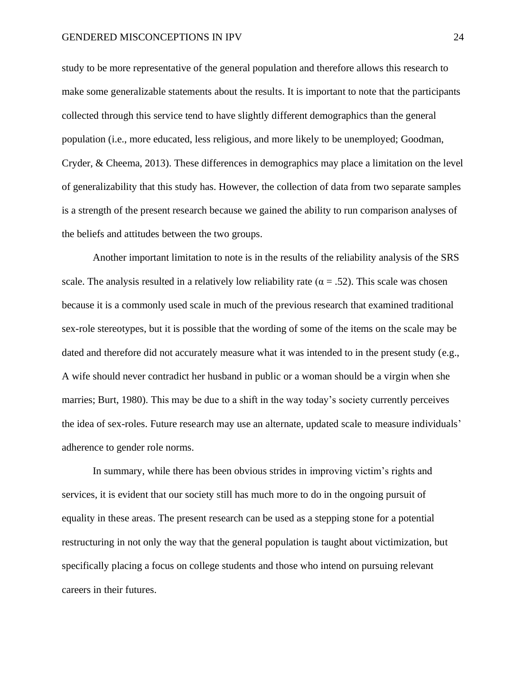study to be more representative of the general population and therefore allows this research to make some generalizable statements about the results. It is important to note that the participants collected through this service tend to have slightly different demographics than the general population (i.e., more educated, less religious, and more likely to be unemployed; Goodman, Cryder, & Cheema, 2013). These differences in demographics may place a limitation on the level of generalizability that this study has. However, the collection of data from two separate samples is a strength of the present research because we gained the ability to run comparison analyses of the beliefs and attitudes between the two groups.

Another important limitation to note is in the results of the reliability analysis of the SRS scale. The analysis resulted in a relatively low reliability rate ( $\alpha = .52$ ). This scale was chosen because it is a commonly used scale in much of the previous research that examined traditional sex-role stereotypes, but it is possible that the wording of some of the items on the scale may be dated and therefore did not accurately measure what it was intended to in the present study (e.g., A wife should never contradict her husband in public or a woman should be a virgin when she marries; Burt, 1980). This may be due to a shift in the way today's society currently perceives the idea of sex-roles. Future research may use an alternate, updated scale to measure individuals' adherence to gender role norms.

In summary, while there has been obvious strides in improving victim's rights and services, it is evident that our society still has much more to do in the ongoing pursuit of equality in these areas. The present research can be used as a stepping stone for a potential restructuring in not only the way that the general population is taught about victimization, but specifically placing a focus on college students and those who intend on pursuing relevant careers in their futures.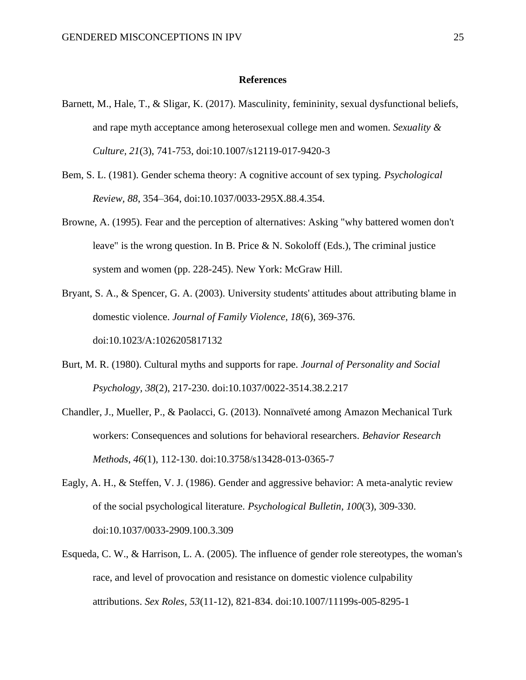#### **References**

- Barnett, M., Hale, T., & Sligar, K. (2017). Masculinity, femininity, sexual dysfunctional beliefs, and rape myth acceptance among heterosexual college men and women. *Sexuality & Culture, 21*(3), 741-753, doi:10.1007/s12119-017-9420-3
- Bem, S. L. (1981). Gender schema theory: A cognitive account of sex typing. *Psychological Review, 88*, 354–364, doi:10.1037/0033-295X.88.4.354.
- Browne, A. (1995). Fear and the perception of alternatives: Asking "why battered women don't leave" is the wrong question. In B. Price & N. Sokoloff (Eds.), The criminal justice system and women (pp. 228-245). New York: McGraw Hill.
- Bryant, S. A., & Spencer, G. A. (2003). University students' attitudes about attributing blame in domestic violence. *Journal of Family Violence, 18*(6), 369-376. doi:10.1023/A:1026205817132
- Burt, M. R. (1980). Cultural myths and supports for rape. *Journal of Personality and Social Psychology, 38*(2), 217-230. doi:10.1037/0022-3514.38.2.217
- Chandler, J., Mueller, P., & Paolacci, G. (2013). Nonnaïveté among Amazon Mechanical Turk workers: Consequences and solutions for behavioral researchers. *Behavior Research Methods*, *46*(1), 112-130. doi:10.3758/s13428-013-0365-7
- Eagly, A. H., & Steffen, V. J. (1986). Gender and aggressive behavior: A meta-analytic review of the social psychological literature. *Psychological Bulletin, 100*(3), 309-330. doi:10.1037/0033-2909.100.3.309
- Esqueda, C. W., & Harrison, L. A. (2005). The influence of gender role stereotypes, the woman's race, and level of provocation and resistance on domestic violence culpability attributions. *Sex Roles, 53*(11-12), 821-834. doi:10.1007/11199s-005-8295-1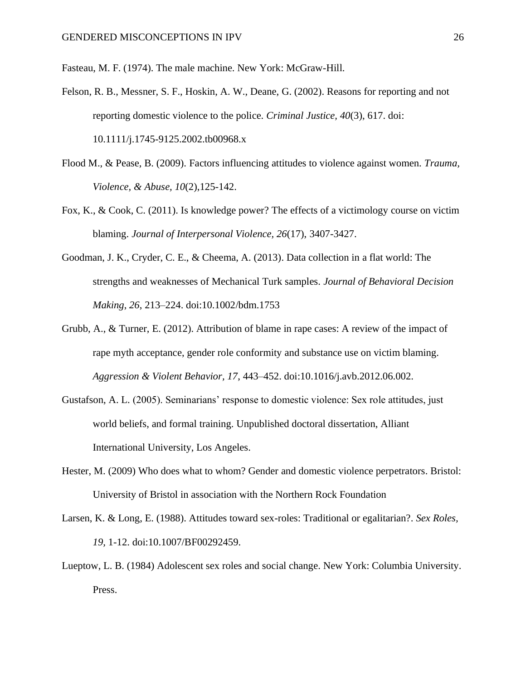Fasteau, M. F. (1974). The male machine. New York: McGraw-Hill.

- Felson, R. B., Messner, S. F., Hoskin, A. W., Deane, G. (2002). Reasons for reporting and not reporting domestic violence to the police. *Criminal Justice, 40*(3), 617. doi: 10.1111/j.1745-9125.2002.tb00968.x
- Flood M., & Pease, B. (2009). Factors influencing attitudes to violence against women. *Trauma, Violence, & Abuse, 10*(2),125-142.
- Fox, K., & Cook, C. (2011). Is knowledge power? The effects of a victimology course on victim blaming. *Journal of Interpersonal Violence, 26*(17), 3407-3427.
- Goodman, J. K., Cryder, C. E., & Cheema, A. (2013). Data collection in a flat world: The strengths and weaknesses of Mechanical Turk samples. *Journal of Behavioral Decision Making*, *26*, 213–224. doi:10.1002/bdm.1753
- Grubb, A., & Turner, E. (2012). Attribution of blame in rape cases: A review of the impact of rape myth acceptance, gender role conformity and substance use on victim blaming. *Aggression & Violent Behavior, 17*, 443–452. doi:10.1016/j.avb.2012.06.002.
- Gustafson, A. L. (2005). Seminarians' response to domestic violence: Sex role attitudes, just world beliefs, and formal training. Unpublished doctoral dissertation, Alliant International University, Los Angeles.
- Hester, M. (2009) Who does what to whom? Gender and domestic violence perpetrators. Bristol: University of Bristol in association with the Northern Rock Foundation
- Larsen, K. & Long, E. (1988). Attitudes toward sex-roles: Traditional or egalitarian?. *Sex Roles, 19,* 1-12. doi:10.1007/BF00292459.
- Lueptow, L. B. (1984) Adolescent sex roles and social change. New York: Columbia University. Press.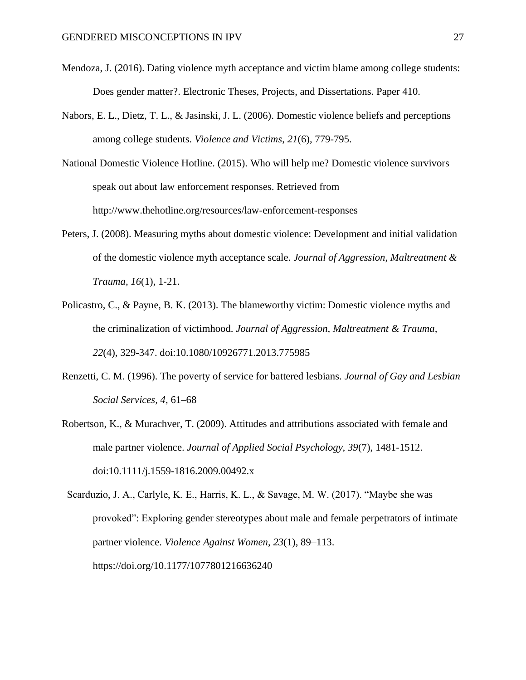- Mendoza, J. (2016). Dating violence myth acceptance and victim blame among college students: Does gender matter?. Electronic Theses, Projects, and Dissertations. Paper 410.
- Nabors, E. L., Dietz, T. L., & Jasinski, J. L. (2006). Domestic violence beliefs and perceptions among college students. *Violence and Victims*, *21*(6), 779-795.
- National Domestic Violence Hotline. (2015). Who will help me? Domestic violence survivors speak out about law enforcement responses. Retrieved from http://www.thehotline.org/resources/law-enforcement-responses
- Peters, J. (2008). Measuring myths about domestic violence: Development and initial validation of the domestic violence myth acceptance scale. *Journal of Aggression, Maltreatment & Trauma, 16*(1), 1-21.
- Policastro, C., & Payne, B. K. (2013). The blameworthy victim: Domestic violence myths and the criminalization of victimhood. *Journal of Aggression, Maltreatment & Trauma, 22*(4), 329-347. doi:10.1080/10926771.2013.775985
- Renzetti, C. M. (1996). The poverty of service for battered lesbians. *Journal of Gay and Lesbian Social Services, 4*, 61–68
- Robertson, K., & Murachver, T. (2009). Attitudes and attributions associated with female and male partner violence. *Journal of Applied Social Psychology, 39*(7), 1481-1512. doi:10.1111/j.1559-1816.2009.00492.x

 Scarduzio, J. A., Carlyle, K. E., Harris, K. L., & Savage, M. W. (2017). "Maybe she was provoked": Exploring gender stereotypes about male and female perpetrators of intimate partner violence. *Violence Against Women*, *23*(1), 89–113. https://doi.org/10.1177/1077801216636240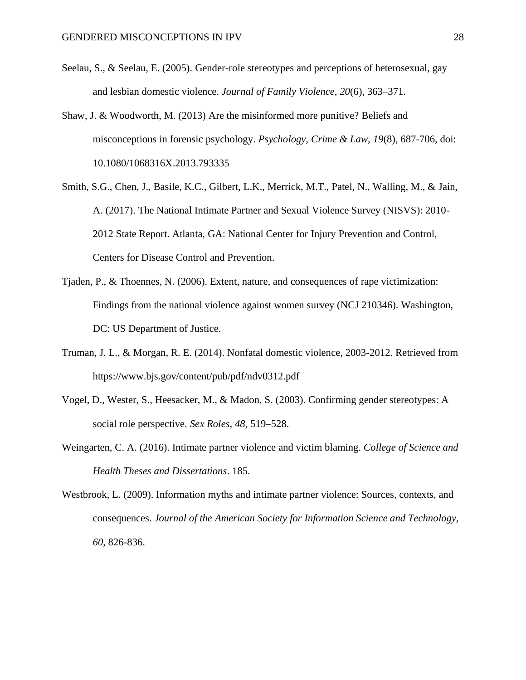- Seelau, S., & Seelau, E. (2005). Gender-role stereotypes and perceptions of heterosexual, gay and lesbian domestic violence. *Journal of Family Violence*, *20*(6), 363–371.
- Shaw, J. & Woodworth, M. (2013) Are the misinformed more punitive? Beliefs and misconceptions in forensic psychology. *Psychology, Crime & Law, 19*(8), 687-706, doi: 10.1080/1068316X.2013.793335
- Smith, S.G., Chen, J., Basile, K.C., Gilbert, L.K., Merrick, M.T., Patel, N., Walling, M., & Jain, A. (2017). The National Intimate Partner and Sexual Violence Survey (NISVS): 2010- 2012 State Report. Atlanta, GA: National Center for Injury Prevention and Control, Centers for Disease Control and Prevention.
- Tjaden, P., & Thoennes, N. (2006). Extent, nature, and consequences of rape victimization: Findings from the national violence against women survey (NCJ 210346). Washington, DC: US Department of Justice.
- Truman, J. L., & Morgan, R. E. (2014). Nonfatal domestic violence, 2003-2012. Retrieved from https://www.bjs.gov/content/pub/pdf/ndv0312.pdf
- Vogel, D., Wester, S., Heesacker, M., & Madon, S. (2003). Confirming gender stereotypes: A social role perspective. *Sex Roles, 48*, 519–528.
- Weingarten, C. A. (2016). Intimate partner violence and victim blaming. *College of Science and Health Theses and Dissertations*. 185.
- Westbrook, L. (2009). Information myths and intimate partner violence: Sources, contexts, and consequences. *Journal of the American Society for Information Science and Technology, 60*, 826-836.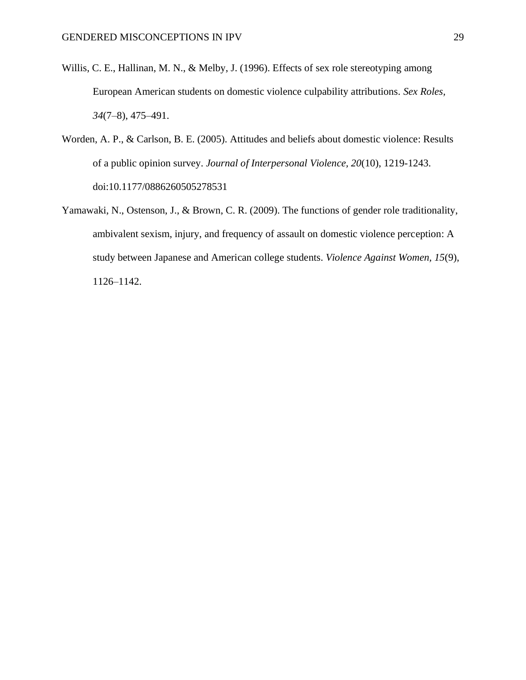- Willis, C. E., Hallinan, M. N., & Melby, J. (1996). Effects of sex role stereotyping among European American students on domestic violence culpability attributions. *Sex Roles, 34*(7–8), 475–491.
- Worden, A. P., & Carlson, B. E. (2005). Attitudes and beliefs about domestic violence: Results of a public opinion survey. *Journal of Interpersonal Violence, 20*(10), 1219-1243. doi:10.1177/0886260505278531
- Yamawaki, N., Ostenson, J., & Brown, C. R. (2009). The functions of gender role traditionality, ambivalent sexism, injury, and frequency of assault on domestic violence perception: A study between Japanese and American college students. *Violence Against Women, 15*(9), 1126–1142.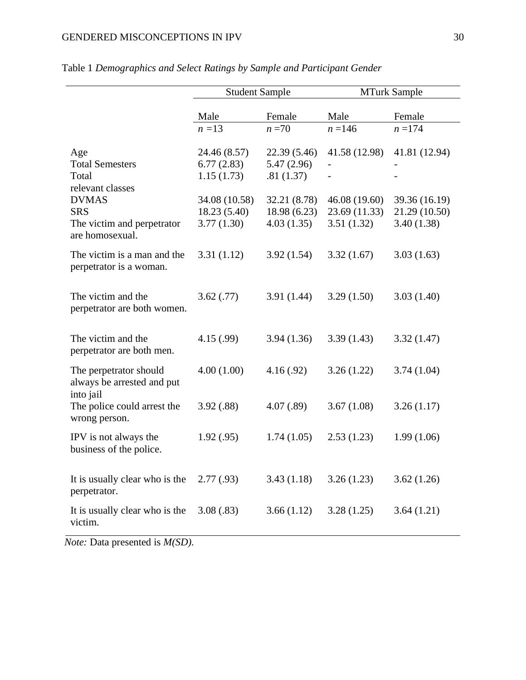|                                                                              | <b>Student Sample</b>                       |                                           | <b>MTurk Sample</b>                          |                                              |  |  |  |
|------------------------------------------------------------------------------|---------------------------------------------|-------------------------------------------|----------------------------------------------|----------------------------------------------|--|--|--|
|                                                                              | Male                                        | Female                                    | Male                                         | Female                                       |  |  |  |
|                                                                              | $n=13$                                      | $n=70$                                    | $n = 146$                                    | $n = 174$                                    |  |  |  |
| Age<br><b>Total Semesters</b><br>Total                                       | 24.46 (8.57)<br>6.77(2.83)<br>1.15(1.73)    | 22.39 (5.46)<br>5.47(2.96)<br>.81(1.37)   | 41.58 (12.98)                                | 41.81 (12.94)                                |  |  |  |
| relevant classes<br><b>DVMAS</b><br><b>SRS</b><br>The victim and perpetrator | 34.08 (10.58)<br>18.23 (5.40)<br>3.77(1.30) | 32.21 (8.78)<br>18.98(6.23)<br>4.03(1.35) | 46.08 (19.60)<br>23.69 (11.33)<br>3.51(1.32) | 39.36 (16.19)<br>21.29 (10.50)<br>3.40(1.38) |  |  |  |
| are homosexual.<br>The victim is a man and the<br>perpetrator is a woman.    | 3.31(1.12)                                  | 3.92(1.54)                                | 3.32(1.67)                                   | 3.03(1.63)                                   |  |  |  |
| The victim and the<br>perpetrator are both women.                            | 3.62(.77)                                   | 3.91(1.44)                                | 3.29(1.50)                                   | 3.03(1.40)                                   |  |  |  |
| The victim and the<br>perpetrator are both men.                              | 4.15(.99)                                   | 3.94(1.36)                                | 3.39(1.43)                                   | 3.32(1.47)                                   |  |  |  |
| The perpetrator should<br>always be arrested and put                         | 4.00(1.00)                                  | 4.16(.92)                                 | 3.26(1.22)                                   | 3.74(1.04)                                   |  |  |  |
| into jail<br>The police could arrest the<br>wrong person.                    | 3.92(.88)                                   | 4.07(.89)                                 | 3.67(1.08)                                   | 3.26(1.17)                                   |  |  |  |
| IPV is not always the<br>business of the police.                             | 1.92(.95)                                   | 1.74(1.05)                                | 2.53(1.23)                                   | 1.99(1.06)                                   |  |  |  |
| It is usually clear who is the<br>perpetrator.                               | 2.77(.93)                                   | 3.43(1.18)                                | 3.26(1.23)                                   | 3.62(1.26)                                   |  |  |  |
| It is usually clear who is the<br>victim.                                    | 3.08(.83)                                   | 3.66(1.12)                                | 3.28(1.25)                                   | 3.64(1.21)                                   |  |  |  |

## Table 1 *Demographics and Select Ratings by Sample and Participant Gender*

*Note:* Data presented is *M(SD).*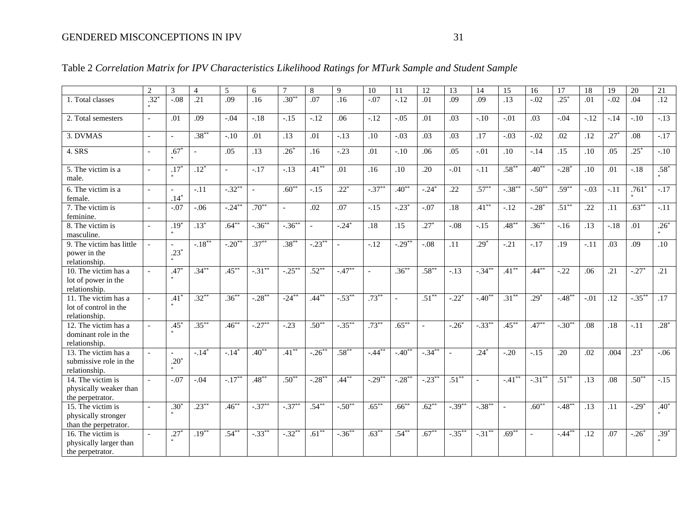|                                                                               | $\overline{2}$           | 3                        | $\overline{4}$ | 5              | 6                        |                | 8           | 9          | 10                       | 11        | 12        | 13             | 14             | 15        | 16        | 17                 | 18               | 19      | 20        | 21               |
|-------------------------------------------------------------------------------|--------------------------|--------------------------|----------------|----------------|--------------------------|----------------|-------------|------------|--------------------------|-----------|-----------|----------------|----------------|-----------|-----------|--------------------|------------------|---------|-----------|------------------|
| 1. Total classes                                                              | $.32*$                   | $-.08$                   | .21            | .09            | .16                      | $.30**$        | .07         | .16        | $-.07$                   | $-12$     | .01       | .09            | .09            | .13       | $-0.02$   | $.25*$             | .01              | $-0.02$ | .04       | $\overline{.12}$ |
| 2. Total semesters                                                            | $\sim$                   | .01                      | .09            | $-.04$         | $-.18$                   | $-.15$         | $-.12$      | .06        | $-.12$                   | $-.05$    | .01       | .03            | $-.10$         | $-.01$    | .03       | $-.04$             | $-.12$           | $-.14$  | $-.10$    | $-.13$           |
| 3. DVMAS                                                                      | $\overline{a}$           | $\sim$                   | $.38***$       | $-.10$         | .01                      | .13            | .01         | $-.13$     | .10                      | $-.03$    | .03       | .03            | .17            | $-.03$    | $-.02$    | .02                | .12              | $.27*$  | .08       | $-.17$           |
| 4. SRS                                                                        | $\overline{a}$           | $.67*$                   | $\mathbb{L}$   | .05            | $\overline{.13}$         | $.26*$         | .16         | $-.23$     | .01                      | $-.10$    | .06       | .05            | $-.01$         | .10       | $-.14$    | .15                | .10              | .05     | $.25*$    | $-.10$           |
| 5. The victim is a<br>male.                                                   | $\mathcal{L}$            | .17                      | $.12*$         | $\overline{a}$ | $-.17$                   | $-13$          | $.41***$    | .01        | .16                      | .10       | .20       | $-.01$         | $-.11$         | $.58***$  | $.40***$  | $-28$ <sup>*</sup> | .10              | .01     | $-.18$    | $.58*$           |
| 6. The victim is a<br>female.                                                 | $\overline{a}$           | $\overline{a}$<br>$.14*$ | $-.11$         | $-0.32$ **     | $\overline{\phantom{a}}$ | $.60**$        | $-.15$      | $.22*$     | $-.37***$                | $.40**$   | $-24*$    | .22            | $.57***$       | $-.38***$ | $-.50**$  | $.59***$           | $-.03$           | $-.11$  | .761      | $-.17$           |
| 7. The victim is<br>feminine.                                                 | $\overline{\phantom{a}}$ | $-.07$                   | $-.06$         | $-.24***$      | $.70^{**}$               | $\overline{a}$ | .02         | .07        | $-.15$                   | $-0.23$   | $-.07$    | .18            | $.41***$       | $-.12$    | $-28$ *   | $.51***$           | .22              | .11     | $.63***$  | $-.11$           |
| 8. The victim is<br>masculine.                                                | $\overline{a}$           | $.19*$                   | $.13*$         | $.64***$       | $-.36***$                | $-.36***$      |             | $-.24*$    | .18                      | .15       | $.27*$    | $-.08$         | $-.15$         | $.48***$  | $.36***$  | $-.16$             | .13              | $-.18$  | .01       | $.26*$           |
| 9. The victim has little<br>power in the<br>relationship.                     |                          | $\overline{a}$<br>$.23*$ | $-.18***$      | $-.20**$       | $.37***$                 | $.38***$       | $-.23$ **   |            | $-.12$                   | $-.29***$ | $-.08$    | .11            | $.29*$         | $-21$     | $-17$     | .19                | $-.11$           | .03     | .09       | .10              |
| 10. The victim has a<br>lot of power in the<br>relationship.                  |                          | $.47*$                   | $.34***$       | $.45***$       | $-.31***$                | $-.25***$      | $.52***$    | $-.47***$  | $\overline{\phantom{a}}$ | $.36***$  | $.58***$  | $-.13$         | $-.34***$      | $.41***$  | $.44***$  | $-.22$             | .06              | .21     | $-.27*$   | .21              |
| 11. The victim has a<br>lot of control in the<br>relationship.                | $\sim$                   | $.41^{\circ}$            | $.32***$       | $.36***$       | $-.28***$                | $-24**$        | $.44***$    | $-0.53***$ | $.73***$                 | $\sim$    | $.51***$  | $-.22*$        | $-.40^{**}$    | $.31***$  | $.29*$    | $-.48**$           | $-.01$           | .12     | $-.35$ ** | .17              |
| 12. The victim has a<br>dominant role in the<br>relationship.                 |                          | $.45*$                   | $.35***$       | $.46***$       | $-.27***$                | $-23$          | $.50^{**}$  | $-.35***$  | $.73***$                 | $.65***$  | $\sim$    | $-.26*$        | $-.33***$      | $.45***$  | $.47***$  | $-30**$            | .08              | .18     | $-.11$    | $.28*$           |
| 13. The victim has a<br>submissive role in the<br>relationship.               | $\overline{a}$           | $.20*$                   | $-.14*$        | $-.14*$        | $.40**$                  | $.41***$       | $-.26^{**}$ | $.58***$   | $-44^{**}$               | $-.40**$  | $-.34***$ | $\overline{a}$ | $.24*$         | $-.20$    | $-.15$    | .20                | .02              | .004    | $.23*$    | $-.06$           |
| $\overline{14}$ . The victim is<br>physically weaker than<br>the perpetrator. | $\overline{a}$           | $-.07$                   | $-.04$         | $-.17***$      | $.48***$                 | $.50**$        | $-.28**$    | $.44***$   | $-.29***$                | $-.28***$ | $-.23***$ | $.51***$       | $\overline{a}$ | $-.41***$ | $-.31***$ | $.51***$           | .13              | .08     | $.50***$  | $-.15$           |
| $15$ . The victim is<br>physically stronger<br>than the perpetrator.          | $\sim$                   | $.30*$                   | $.23***$       | $.46***$       | $-.37***$                | $-.37***$      | $.54***$    | $-.50**$   | $.65***$                 | $.66***$  | $.62***$  | $-.39***$      | $-.38***$      |           | $.60***$  | $-.48***$          | .13              | .11     | $-.29*$   | $.40*$           |
| $16$ . The victim is<br>physically larger than<br>the perpetrator.            |                          | $.27*$                   | $.19***$       | $.54***$       | $-.33***$                | $-.32**$       | $.61***$    | $-.36***$  | $.63***$                 | $.54***$  | $.67***$  | $-.35***$      | $-.31***$      | $.69***$  |           | $-.44***$          | $\overline{.12}$ | .07     | $-.26^*$  | $.39*$           |

## Table 2 *Correlation Matrix for IPV Characteristics Likelihood Ratings for MTurk Sample and Student Sample*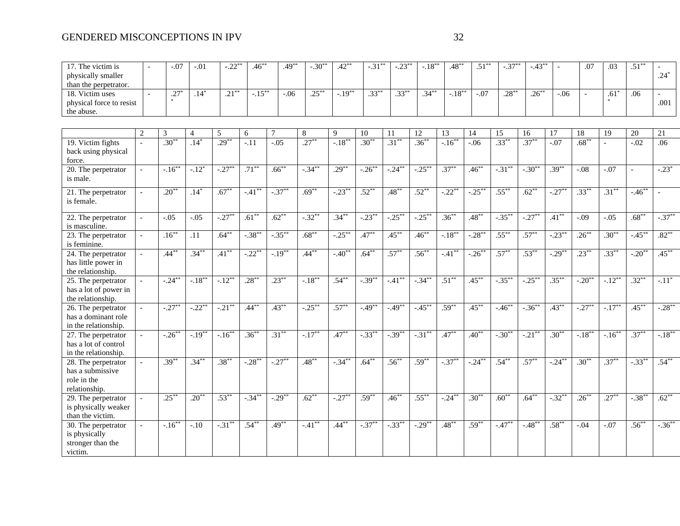| 17. The victim is<br>physically smaller<br>than the perpetrator.        |                | $-.07$               | $-.01$         | $-.22$ ** | $.46***$  | $.49***$  | $-.30*$   | $.42***$  | $-.31$ ** | $-.23$ <sup>*</sup> | $-.18***$ | $.48***$             | $.51***$  | $-.37**$   | $-.43***$  |            | .07        | .03            | $.51***$             | $.24*$    |
|-------------------------------------------------------------------------|----------------|----------------------|----------------|-----------|-----------|-----------|-----------|-----------|-----------|---------------------|-----------|----------------------|-----------|------------|------------|------------|------------|----------------|----------------------|-----------|
| 18. Victim uses<br>physical force to resist<br>the abuse.               | $\overline{a}$ | $.27*$               | $.14*$         | $.21***$  | $-.15***$ | $-0.06$   | $.25***$  | $-.19***$ | $.33***$  | $.33***$            | $.34***$  | $-.18***$            | $-0.07$   | $.28***$   | $.26***$   | $-.06$     |            | $.61*$         | .06                  | .001      |
|                                                                         |                |                      |                |           |           |           |           |           |           |                     |           |                      |           |            |            |            |            |                |                      |           |
|                                                                         | 2              | 3                    | $\overline{4}$ | 5         | 6         | $\tau$    | 8         | 9         | 10        | 11                  | 12        | 13                   | 14        | 15         | 16         | 17         | 18         | 19             | 20                   | 21        |
| 19. Victim fights<br>back using physical<br>force.                      | $\mathbf{r}$   | $.30***$             | $.14*$         | $.29***$  | $-11$     | $-0.05$   | $.27***$  | $-.18***$ | $.30***$  | $.31***$            | $.36***$  | $-16^{**}$           | $-0.06$   | $.33***$   | $.37***$   | $-.07$     | $.68***$   | $\overline{a}$ | $-0.02$              | .06       |
| 20. The perpetrator<br>is male.                                         |                | $-16^{**}$           | $-.12*$        | $-.27***$ | $.71***$  | $.66***$  | $-.34***$ | $.29***$  | $-.26***$ | $-.24***$           | $-.25***$ | $.37***$             | $.46***$  | $-.31***$  | $-.30**$   | $.39***$   | $-0.08$    | $-0.07$        | $\equiv$             | $-.23*$   |
| 21. The perpetrator<br>is female.                                       | $\sim$         | $.20***$             | $.14*$         | $.67***$  | $-.41***$ | $-.37***$ | $.69***$  | $-.23***$ | $.52***$  | $.48***$            | $.52***$  | $-.22***$            | $-.25***$ | $.55***$   | $.62***$   | $-.27***$  | $.33***$   | $.31***$       | $-46^{**}$           |           |
| 22. The perpetrator<br>is masculine.                                    | $\mathbf{r}$   | $-.05$               | $-.05$         | $-.27***$ | $.61***$  | $.62***$  | $-.32***$ | $.34***$  | $-.23***$ | $-.25***$           | $-.25***$ | $.36***$             | $.48***$  | $-.35***$  | $-0.27***$ | $.41***$   | $-.09$     | $-.05$         | $.68***$             | $-.37***$ |
| 23. The perpetrator<br>is feminine.                                     | $\sim$         | $.16***$             | .11            | $.64***$  | $-.38***$ | $-.35***$ | $.68***$  | $-.25***$ | $.47***$  | $.45***$            | $.46***$  | $-.18^{*}$           | $-.28***$ | $.55***$   | $.57***$   | $-.23***$  | $.26***$   | $.30***$       | $-45$ **             | $.82***$  |
| 24. The perpetrator<br>has little power in<br>the relationship.         | $\mathbb{Z}^2$ | $.44***$             | $.34***$       | $.41***$  | $-.22**$  | $-.19***$ | $.44***$  | $-.40**$  | $.64***$  | $.57***$            | $.56***$  | $-.41$ <sup>**</sup> | $-.26***$ | $.57***$   | $.53***$   | $-0.29$ ** | $.23***$   | $.33***$       | $-.20$ <sup>**</sup> | $.45***$  |
| 25. The perpetrator<br>has a lot of power in<br>the relationship.       |                | $-.24***$            | $-.18***$      | $-.12***$ | $.28***$  | $.23***$  | $-.18***$ | $.54***$  | $-39**$   | $-.41***$           | $-.34***$ | $.51***$             | $.45***$  | $-.35***$  | $-.25***$  | $.35***$   | $-.20**$   | $-.12***$      | $.32***$             | $-.11*$   |
| 26. The perpetrator<br>has a dominant role<br>in the relationship.      |                | $-.27$ <sup>**</sup> | $-.22**$       | $-.21***$ | $.44***$  | $.43***$  | $-.25***$ | $.57***$  | $-.49***$ | $-.49**$            | $-.45***$ | $.59***$             | $.45***$  | $-46^{**}$ | $-.36***$  | $.43***$   | $-.27***$  | $-.17***$      | $.45***$             | $-.28***$ |
| 27. The perpetrator<br>has a lot of control<br>in the relationship.     |                | $-.26***$            | $-.19***$      | $-.16***$ | $.36***$  | $.31***$  | $-.17***$ | $.47***$  | $-.33***$ | $-.39***$           | $-.31***$ | $.47***$             | $.40**$   | $-.30**$   | $-.21***$  | $.30***$   | $-.18***$  | $-.16***$      | $.37***$             | $-.18***$ |
| 28. The perpetrator<br>has a submissive<br>role in the<br>relationship. | $\sim$         | $.39***$             | $.34***$       | $.38***$  | $-.28$ ** | $-.27***$ | $.48***$  | $-.34***$ | $.64***$  | $.56^{**}$          | $.59***$  | $-.37$ **            | $-.24***$ | $.54***$   | $.57***$   | $-.24***$  | $.30^{**}$ | $.37***$       | $-.33^{**}$          | $.54***$  |
| 29. The perpetrator<br>is physically weaker<br>than the victim.         |                | $.25***$             | $.20**$        | $.53***$  | $-.34***$ | $-.29***$ | $.62***$  | $-.27***$ | $.59***$  | $.46***$            | $.55***$  | $-.24***$            | $.30***$  | $.60***$   | $.64***$   | $-.32***$  | $.26***$   | $.27***$       | $-.38***$            | $.62***$  |
| 30. The perpetrator<br>is physically<br>stronger than the<br>victim.    | $\sim$         | $-16^{**}$           | $-.10$         | $-.31***$ | $.54***$  | $.49***$  | $-41**$   | $.44***$  | $-.37***$ | $-33^{**}$          | $-.29***$ | $.48***$             | $.59***$  | $-.47***$  | $-.48***$  | $.58***$   | $-.04$     | $-.07$         | $.56^{**}$           | $-.36***$ |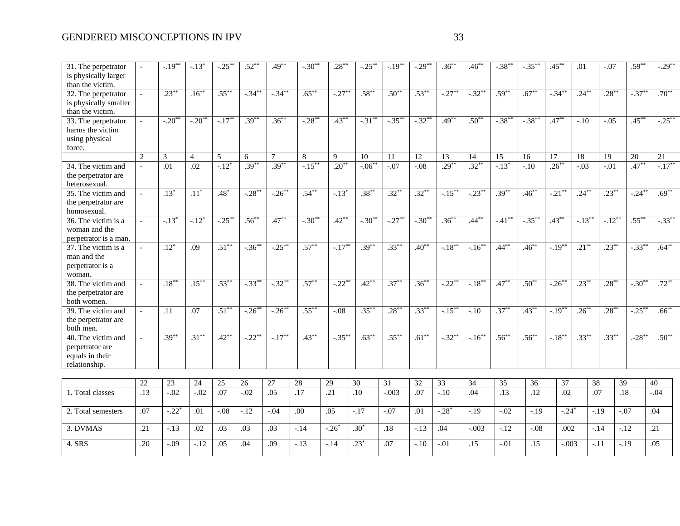| 31. The perpetrator<br>is physically larger<br>than the victim.                   |                          | $-.19**$             | $-.13*$            | $-.25*$    | $.52***$    | $.49***$  | $-.30**$  | $.28***$  | $-.25***$        | $-.19***$ | $-.29**$   | $.36***$    | $.46***$   | $-.38***$              | $-.35***$  | $.45***$  | .01       | $-.07$    | $.59***$  | $-.29***$    |
|-----------------------------------------------------------------------------------|--------------------------|----------------------|--------------------|------------|-------------|-----------|-----------|-----------|------------------|-----------|------------|-------------|------------|------------------------|------------|-----------|-----------|-----------|-----------|--------------|
| 32. The perpetrator<br>is physically smaller<br>than the victim.                  |                          | $.23***$             | $.16***$           | $.55***$   | $-.34***$   | $-.34***$ | $.65***$  | $-.27***$ | $.58***$         | $.50***$  | $.53***$   | $-.27***$   | $-.32**$   | $.59***$               | $.67***$   | $-.34***$ | $.24***$  | $.28***$  | $-.37***$ | $.70***$     |
| $\overline{33}$ . The perpetrator<br>harms the victim<br>using physical<br>force. |                          | $-.20$ <sup>**</sup> | $-.20**$           | $-.17***$  | $.39***$    | $.36***$  | $-.28***$ | $.43***$  | $-.31***$        | $-.35***$ | $-.32**$   | $.49***$    | $.50**$    | $-.38***$              | $-.38***$  | $.47***$  | $-.10$    | $-.05$    | $.45***$  | $-.25***$    |
|                                                                                   | $\overline{2}$           | 3                    | $\overline{4}$     | 5          | 6           | 7         | 8         | 9         | 10               | 11        | 12         | 13          | 14         | 15                     | 16         | 17        | 18        | 19        | 20        | 21           |
| 34. The victim and<br>the perpetrator are<br>heterosexual.                        | $\overline{\phantom{a}}$ | .01                  | .02                | $-.12*$    | $.39***$    | $.39***$  | $-.15***$ | $.20**$   | $-0.06$ **       | $-.07$    | $-.08$     | $.29***$    | $.32***$   | $-.13*$                | $-.10$     | $.26***$  | $-.03$    | $-.01$    | $.47***$  | $-.17***$    |
| 35. The victim and<br>the perpetrator are<br>homosexual.                          |                          | $.13*$               | $\overline{.11}^*$ | $.48*$     | $-.28**$    | $-.26***$ | $.54***$  | $-13*$    | $.38***$         | $.32***$  | $.32***$   | $-.15***$   | $-.23***$  | $.39***$               | $.46***$   | $-.21***$ | $.24***$  | $.23***$  | $-.24***$ | $.69***$     |
| 36. The victim is a<br>woman and the<br>perpetrator is a man.                     |                          | $-13$ <sup>*</sup>   | $-12$ <sup>*</sup> | $-0.25***$ | $.56***$    | $.47***$  | $-.30**$  | $.42***$  | $-.30**$         | $-.27***$ | $-30^{**}$ | $.36***$    | $.44***$   | $-.41***$              | $-.35***$  | $.43***$  | $-.13***$ | $-.12***$ | $.55***$  | $-.33***$    |
| 37. The victim is a<br>man and the<br>perpetrator is a<br>woman.                  | $\overline{\phantom{a}}$ | $.12*$               | .09                | $.51***$   | $-.36^{**}$ | $-.25***$ | $.57***$  | $-.17***$ | $.39***$         | $.33***$  | $.40***$   | $-.18***$   | $-.16***$  | $.44***$               | $.46***$   | $-.19***$ | $.21***$  | $.23***$  | $-.33***$ | $.64***$     |
| 38. The victim and<br>the perpetrator are<br>both women.                          | $\overline{a}$           | $.18***$             | $.15***$           | $.53***$   | $-.33***$   | $-.32**$  | $.57***$  | $-.22**$  | $.42***$         | $.37***$  | $.36***$   | $-.22**$    | $-.18***$  | $.47***$               | $.50^{**}$ | $-.26***$ | $.23***$  | $.28***$  | $-.30**$  | $.72***$     |
| 39. The victim and<br>the perpetrator are<br>both men.                            |                          | .11                  | .07                | $.51***$   | $-.26^{**}$ | $-.26***$ | $.55***$  | $-.08$    | $.35***$         | $.28***$  | $.33***$   | $-.15***$   | $-.10$     | $.37***$               | $.43***$   | $-.19***$ | $.26***$  | $.28***$  | $-.25***$ | $.66***$     |
| 40. The victim and<br>perpetrator are<br>equals in their<br>relationship.         |                          | $.39***$             | $.31***$           | $.42***$   | $-.22**$    | $-.17***$ | $.43***$  | $-.35***$ | $.63***$         | $.55***$  | $.61***$   | $-.32**$    | $-16^{**}$ | $.56^{**}$             | $.56***$   | $-.18***$ | $.33***$  | $.33***$  | $-28**$   | $.50^{**}$   |
|                                                                                   |                          |                      | 24                 | 25         | 26          | 27        |           | 29        | 30               | 31        | 32         |             |            |                        |            |           |           |           |           |              |
| 1. Total classes                                                                  | 22<br>.13                | 23<br>$-0.02$        | $-0.02$            | .07        | $-.02$      | .05       | 28<br>.17 | .21       | $\overline{.10}$ | $-.003$   | .07        | 33<br>$-10$ | 34<br>.04  | 35<br>$\overline{.13}$ | 36<br>.12  | 37<br>.02 | 38        | .07       | 39<br>.18 | 40<br>$-.04$ |
| 2. Total semesters                                                                | .07                      | $-.22*$              | .01                | $-.08$     | $-.12$      | $-.04$    | .00       | .05       | $-.17$           | $-.07$    | .01        | $-.28*$     | $-.19$     | $-.02$                 | $-.19$     | $-.24*$   |           | $-.19$    | $-.07$    | .04          |
| 3. DVMAS                                                                          | .21                      | $-.13$               | .02                | .03        | .03         | .03       | $-.14$    | $-.26*$   | $.30*$           | .18       | $-.13$     | .04         | $-.003$    | $-.12$                 | $-0.08$    | .002      |           | $-.14$    | $-.12$    | .21          |
| 4. SRS                                                                            | .20                      | $-.09$               | $-.12$             | .05        | .04         | .09       | $-.13$    | $-.14$    | $.23*$           | .07       | $-.10$     | $-.01$      | .15        | $-.01$                 | .15        | $-.003$   |           | $-.11$    | $-.19$    | .05          |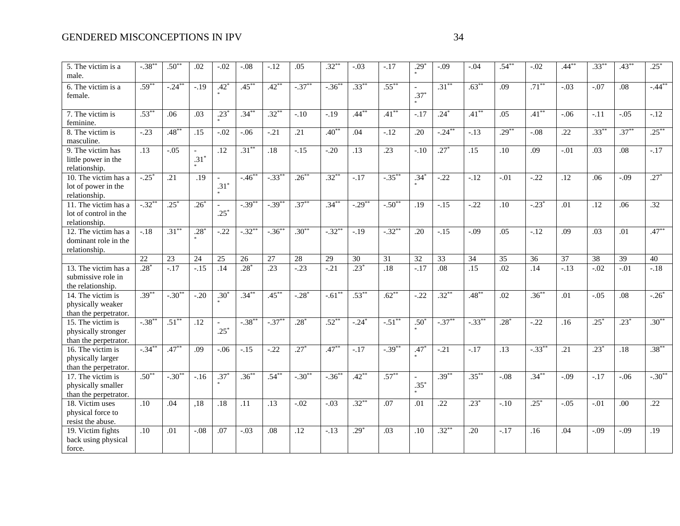| 5. The victim is a<br>male.                                                   | $-0.38$   | $.50**$   | .02              | $-.02$                             | $-.08$    | $-.12$           | .05       | $.32***$   | $-.03$    | $-.17$           | $.29*$ | $-.09$    | $-.04$    | $.54***$         | $-.02$    | $.44***$         | $.33***$ | $.43***$ | $.25*$    |
|-------------------------------------------------------------------------------|-----------|-----------|------------------|------------------------------------|-----------|------------------|-----------|------------|-----------|------------------|--------|-----------|-----------|------------------|-----------|------------------|----------|----------|-----------|
| 6. The victim is a<br>female.                                                 | $.59***$  | $-.24***$ | $-19$            | $.42*$                             | $.45***$  | $.42***$         | $-.37***$ | $-.36***$  | $.33***$  | $.55***$         | $.37*$ | $.31***$  | $.63***$  | .09              | $.71***$  | $-0.03$          | $-0.07$  | .08      | $-.44***$ |
| 7. The victim is<br>feminine.                                                 | $.53***$  | .06       | .03              | $.23*$                             | $.34***$  | $.32***$         | $-.10$    | $-.19$     | $.44***$  | $.41***$         | $-.17$ | $.24*$    | $.41***$  | .05              | $.41***$  | $-.06$           | $-.11$   | $-.05$   | $-.12$    |
| 8. The victim is<br>masculine.                                                | $-.23$    | $.48***$  | .15              | $-.02$                             | $-.06$    | $-.21$           | .21       | $.40^{**}$ | .04       | $-.12$           | .20    | $-.24***$ | $-.13$    | $.29***$         | $-.08$    | .22              | $.33***$ | $.37***$ | $.25***$  |
| 9. The victim has<br>little power in the<br>relationship.                     | .13       | $-.05$    | $.31*$           | .12                                | $.31***$  | .18              | $-.15$    | $-.20$     | .13       | .23              | $-.10$ | $.27*$    | .15       | .10              | .09       | $-.01$           | .03      | .08      | $-.17$    |
| 10. The victim has a<br>lot of power in the<br>relationship.                  | $-.25*$   | .21       | $\overline{.19}$ | $\overline{\phantom{a}}$<br>$.31*$ | $-.46***$ | $-.33***$        | $.26***$  | $.32***$   | $-.17$    | $-.35***$        | $.34*$ | $-.22$    | $-.12$    | $-.01$           | $-.22$    | .12              | .06      | $-.09$   | $.27*$    |
| $\overline{11}$ . The victim has a<br>lot of control in the<br>relationship.  | $-.32**$  | $.25*$    | $.26*$           | $\overline{\phantom{a}}$<br>$.25*$ | $-.39***$ | $-.39***$        | $.37***$  | $.34***$   | $-.29***$ | $-.50**$         | .19    | $-.15$    | $-.22$    | .10              | $-23*$    | .01              | .12      | .06      | .32       |
| $12.$ The victim has a<br>dominant role in the<br>relationship.               | $-18$     | $.31***$  | $.28*$           | $-22$                              | $-.32**$  | $-.36^{**}$      | $.30***$  | $-32^{*}$  | $-.19$    | $-.32***$        | .20    | $-.15$    | $-0.09$   | .05              | $-.12$    | .09              | .03      | .01      | $.47***$  |
|                                                                               | 22        | 23        | 24               | 25                                 | 26        | 27               | 28        | 29         | 30        | 31               | 32     | 33        | 34        | 35               | 36        | 37               | 38       | 39       | 40        |
| $\overline{13}$ . The victim has a<br>submissive role in<br>the relationship. | $.28*$    | $-.17$    | $-15$            | .14                                | $.28*$    | $\overline{.23}$ | $-.23$    | $-21$      | $.23*$    | $\overline{.18}$ | $-17$  | $.08\,$   | .15       | .02              | .14       | $-13$            | $-.02$   | $-.01$   | $-.18$    |
| 14. The victim is<br>physically weaker<br>than the perpetrator.               | $.39***$  | $-.30**$  | $-20$            | $.30*$                             | $.34***$  | $.45***$         | $-.28*$   | $-.61**$   | $.53***$  | $.62***$         | $-.22$ | $.32***$  | $.48***$  | .02              | $.36***$  | $\overline{.01}$ | $-0.05$  | .08      | $-.26*$   |
| 15. The victim is<br>physically stronger<br>than the perpetrator.             | $-.38***$ | $.51***$  | .12              | $\overline{\phantom{a}}$<br>$.25*$ | $-.38***$ | $-.37***$        | $.28*$    | $.52***$   | $-0.24*$  | $-.51***$        | $.50*$ | $-.37***$ | $-.33***$ | $.28*$           | $-22$     | .16              | $.25*$   | $.23*$   | $.30**$   |
| 16. The victim is<br>physically larger<br>than the perpetrator.               | $-.34***$ | $.47***$  | .09              | $-.06$                             | $-.15$    | $-0.22$          | $.27*$    | $.47***$   | $-17$     | $-0.39$ **       | $.47*$ | $-.21$    | $-17$     | $\overline{.13}$ | $-.33***$ | .21              | $.23*$   | .18      | $.38***$  |
| 17. The victim is<br>physically smaller<br>than the perpetrator.              | $.50**$   | $-.30**$  | $-16$            | $.37*$                             | $.36***$  | $.54***$         | $-.30**$  | $-36^{**}$ | $.42***$  | $.57***$         | $.35*$ | $.39***$  | $.35***$  | $-.08$           | $.34***$  | $-0.09$          | $-17$    | $-0.06$  | $-.30**$  |
| 18. Victim uses<br>physical force to<br>resist the abuse.                     | .10       | .04       | $\overline{.18}$ | .18                                | .11       | .13              | $-.02$    | $-.03$     | $.32***$  | .07              | .01    | .22       | $.23*$    | $-.10$           | $.25*$    | $-.05$           | $-.01$   | .00      | .22       |
| 19. Victim fights<br>back using physical<br>force.                            | .10       | .01       | $-.08$           | .07                                | $-.03$    | .08              | .12       | $-.13$     | $.29*$    | .03              | .10    | $.32***$  | .20       | $-.17$           | .16       | .04              | $-.09$   | $-.09$   | .19       |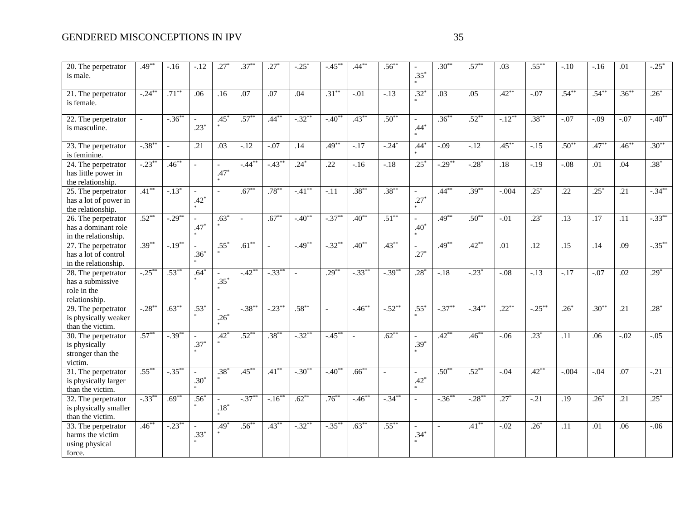| $20.$ The perpetrator                                    | $.49**$              | $-.16$    | $-.12$                   | $.27*$                   | $.37^{*}$    | $.27*$                   | $-.25$ <sup>*</sup> | $-.45***$   | $.44***$   | $.56***$       |                  | $.30**$   | $.57***$   | .03       | $.55***$         | $-.10$           | $-.16$   | .01      | $-0.25*$  |
|----------------------------------------------------------|----------------------|-----------|--------------------------|--------------------------|--------------|--------------------------|---------------------|-------------|------------|----------------|------------------|-----------|------------|-----------|------------------|------------------|----------|----------|-----------|
| is male.                                                 |                      |           |                          |                          |              |                          |                     |             |            |                | $.35*$           |           |            |           |                  |                  |          |          |           |
|                                                          |                      | $.71***$  |                          |                          |              |                          |                     | $.31***$    |            |                |                  |           |            | $.42***$  |                  | $.54***$         | $.54***$ | $.36***$ |           |
| 21. The perpetrator<br>is female.                        | $-.24***$            |           | .06                      | .16                      | .07          | .07                      | .04                 |             | $-.01$     | $-.13$         | $.32^{*}$        | .03       | .05        |           | $-0.07$          |                  |          |          | $.26*$    |
|                                                          |                      |           |                          |                          |              |                          |                     |             |            |                |                  |           |            |           |                  |                  |          |          |           |
| 22. The perpetrator                                      |                      | $-.36***$ |                          | $.45*$                   | $.57***$     | $.44***$                 | $-.32***$           | $-.40**$    | $.43***$   | $.50^{**}$     | $\overline{a}$   | $.36***$  | $.52***$   | $-.12***$ | $.38***$         | $-.07$           | $-.09$   | $-.07$   | $-.40**$  |
| is masculine.                                            |                      |           | $.23*$                   |                          |              |                          |                     |             |            |                | $.44*$           |           |            |           |                  |                  |          |          |           |
|                                                          |                      |           |                          |                          |              |                          |                     |             |            |                |                  |           |            |           |                  |                  |          |          |           |
| 23. The perpetrator                                      | $-.38**$             | $\sim$    | .21                      | .03                      | $-.12$       | $-.07$                   | .14                 | $.49***$    | $-.17$     | $-.24*$        | $.44*$           | $-.09$    | $-.12$     | $.45***$  | $-.15$           | $.50**$          | $.47***$ | $.46***$ | $.30**$   |
| is feminine.                                             |                      |           |                          |                          |              |                          |                     |             |            |                |                  |           |            |           |                  |                  |          |          |           |
| $\overline{24}$ . The perpetrator                        | $-.23$ <sup>**</sup> | $.46***$  | $\mathbf{r}$             | $\overline{a}$           | $-.44***$    | $-.43$ <sup>**</sup>     | $.24*$              | .22         | $-16$      | $-18$          | $.25*$           | $-.29**$  | $-0.28$    | .18       | $-.19$           | $-0.08$          | .01      | .04      | $.38*$    |
| has little power in                                      |                      |           |                          | $.47*$                   |              |                          |                     |             |            |                |                  |           |            |           |                  |                  |          |          |           |
| the relationship.                                        |                      |           |                          |                          |              |                          |                     |             |            |                |                  |           |            |           |                  |                  |          |          |           |
| 25. The perpetrator                                      | $.41***$             | $-.13*$   | $\overline{\phantom{a}}$ | $\blacksquare$           | $.67***$     | $.78***$                 | $-.41***$           | $-.11$      | $.38***$   | $.38***$       | $\sim$           | $.44***$  | $.39***$   | $-.004$   | $.25*$           | .22              | $.25*$   | .21      | $-.34***$ |
| has a lot of power in                                    |                      |           | $.42*$                   |                          |              |                          |                     |             |            |                | $.27*$           |           |            |           |                  |                  |          |          |           |
| the relationship.                                        | $.52***$             | $-.29***$ |                          |                          |              | $.67***$                 | $-40**$             | $-.37***$   | $.40**$    | $.51***$       |                  | $.49***$  |            |           | $.23*$           |                  |          |          | $-.33***$ |
| $\overline{26}$ . The perpetrator<br>has a dominant role |                      |           | $\mathcal{L}$<br>$.47*$  | $.63*$                   | $\mathbf{r}$ |                          |                     |             |            |                | $\sim$<br>$.40*$ |           | $.50***$   | $-.01$    |                  | $\overline{.13}$ | .17      | .11      |           |
| in the relationship.                                     |                      |           |                          |                          |              |                          |                     |             |            |                |                  |           |            |           |                  |                  |          |          |           |
| 27. The perpetrator                                      | $.39***$             | $-.19***$ |                          | $.55*$                   | $.61***$     | $\overline{\phantom{a}}$ | $-49**$             | $-.32**$    | $.40***$   | $.43***$       |                  | $.49***$  | $.42***$   | .01       | $\overline{.12}$ | $\overline{.15}$ | .14      | .09      | $-.35***$ |
| has a lot of control                                     |                      |           | $.36*$                   |                          |              |                          |                     |             |            |                | $.27*$           |           |            |           |                  |                  |          |          |           |
| in the relationship.                                     |                      |           |                          |                          |              |                          |                     |             |            |                |                  |           |            |           |                  |                  |          |          |           |
| $\overline{28}$ . The perpetrator                        | $-.25***$            | $.53***$  | $.64*$                   |                          | $-.42**$     | $-.33***$                |                     | $.29***$    | $-.33***$  | $-.39***$      | $.28*$           | $-.18$    | $-.23*$    | $-.08$    | $-13$            | $-17$            | $-.07$   | .02      | $.29*$    |
| has a submissive                                         |                      |           |                          | $.35*$                   |              |                          |                     |             |            |                |                  |           |            |           |                  |                  |          |          |           |
| role in the                                              |                      |           |                          |                          |              |                          |                     |             |            |                |                  |           |            |           |                  |                  |          |          |           |
| relationship.                                            |                      |           |                          |                          |              |                          |                     |             |            |                |                  |           |            |           |                  |                  |          |          |           |
| 29. The perpetrator                                      | $-.28***$            | $.63***$  | $.53*$                   | $\overline{\phantom{a}}$ | $-.38***$    | $-.23***$                | $.58***$            |             | $-46^{**}$ | $-.52***$      | $.55*$           | $-.37***$ | $-0.34***$ | $.22***$  | $-.25***$        | $.26*$           | $.30***$ | .21      | $.28*$    |
| is physically weaker                                     |                      |           |                          | $.26*$                   |              |                          |                     |             |            |                |                  |           |            |           |                  |                  |          |          |           |
| than the victim.                                         |                      |           |                          |                          |              |                          |                     |             |            |                |                  |           |            |           |                  |                  |          |          |           |
| $\overline{30}$ . The perpetrator                        | $.57***$             | $-.39***$ |                          | $.42*$                   | $.52***$     | $.38***$                 | $-.32***$           | $-.45***$   |            | $.62***$       |                  | $.42***$  | $.46***$   | $-.06$    | $.23*$           | .11              | .06      | $-.02$   | $-.05$    |
| is physically                                            |                      |           | $.37*$                   |                          |              |                          |                     |             |            |                | $.39*$           |           |            |           |                  |                  |          |          |           |
| stronger than the                                        |                      |           |                          |                          |              |                          |                     |             |            |                |                  |           |            |           |                  |                  |          |          |           |
| victim.                                                  |                      |           |                          |                          |              |                          |                     |             |            |                |                  |           |            |           |                  |                  |          |          |           |
| 31. The perpetrator                                      | $.55***$             | $-.35***$ | $\overline{a}$           | $.38*$                   | $.45***$     | $.41***$                 | $-.30**$            | $-.40^{**}$ | $.66***$   | $\overline{a}$ | $\sim$           | $.50**$   | $.52***$   | $-.04$    | $.42***$         | $-.004$          | $-.04$   | .07      | $-21$     |
| is physically larger                                     |                      |           | $.30*$                   |                          |              |                          |                     |             |            |                | $.42*$           |           |            |           |                  |                  |          |          |           |
| than the victim.                                         |                      | $.69***$  |                          |                          |              |                          | $.62***$            |             |            |                |                  |           |            |           |                  |                  |          |          |           |
| 32. The perpetrator                                      | $-.33***$            |           | $.56*$                   | $.18*$                   | $-.37***$    | $-.16***$                |                     | $.76***$    | $-.46***$  | $-.34***$      | $\sim$           | $-.36***$ | $-.28***$  | $.27*$    | $-21$            | $\overline{.19}$ | $.26*$   | .21      | $.25*$    |
| is physically smaller                                    |                      |           |                          |                          |              |                          |                     |             |            |                |                  |           |            |           |                  |                  |          |          |           |
| than the victim.                                         | $.46***$             | $-.23***$ |                          | $.49*$                   | $.56***$     | $.43***$                 | $-.32***$           | $-.35***$   | $.63***$   | $.55***$       |                  | $\sim$    | $.41***$   | $-.02$    | $.26*$           | .11              | .01      | .06      | $-.06$    |
| 33. The perpetrator<br>harms the victim                  |                      |           | $.33*$                   |                          |              |                          |                     |             |            |                | $.34*$           |           |            |           |                  |                  |          |          |           |
| using physical                                           |                      |           |                          |                          |              |                          |                     |             |            |                |                  |           |            |           |                  |                  |          |          |           |
| force.                                                   |                      |           |                          |                          |              |                          |                     |             |            |                |                  |           |            |           |                  |                  |          |          |           |
|                                                          |                      |           |                          |                          |              |                          |                     |             |            |                |                  |           |            |           |                  |                  |          |          |           |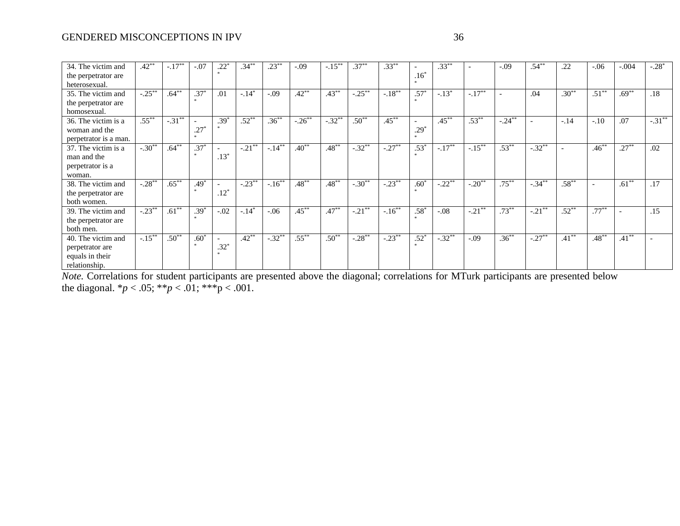| 34. The victim and    | $.42**$   | $-.17***$ | $-.07$ | .22                      | $.34***$  | $.23***$  | $-.09$    | $-.15***$ | $.37***$  | $.33***$   |                   | $.33***$   |           | $-.09$    | $.54***$                 | .22      | $-.06$                   | $-.004$  | $-.28*$   |
|-----------------------|-----------|-----------|--------|--------------------------|-----------|-----------|-----------|-----------|-----------|------------|-------------------|------------|-----------|-----------|--------------------------|----------|--------------------------|----------|-----------|
| the perpetrator are   |           |           |        | $\mathcal{R}$            |           |           |           |           |           |            | $.16*$            |            |           |           |                          |          |                          |          |           |
| heterosexual.         |           |           |        |                          |           |           |           |           |           |            |                   |            |           |           |                          |          |                          |          |           |
| 35. The victim and    | $-.25***$ | $.64***$  | $.37*$ | .01                      | $-.14*$   | $-.09$    | $.42***$  | $.43***$  | $-0.25$   | $-.18***$  | $.57*$            | $-.13*$    | $-.17***$ |           | .04                      | $.30**$  | $.51***$                 | $.69***$ | .18       |
| the perpetrator are   |           |           |        |                          |           |           |           |           |           |            |                   |            |           |           |                          |          |                          |          |           |
| homosexual.           |           |           |        |                          |           |           |           |           |           |            |                   |            |           |           |                          |          |                          |          |           |
| 36. The victim is a   | $.55***$  | $-.31***$ |        | $.39*$                   | $.52***$  | $.36***$  | $-.26***$ | $-.32**$  | $.50***$  | $.45***$   |                   | $.45***$   | $.53***$  | $-.24***$ | $\overline{\phantom{a}}$ | $-.14$   | $-.10$                   | .07      | $-.31***$ |
| woman and the         |           |           | $.27*$ |                          |           |           |           |           |           |            | $.29*$            |            |           |           |                          |          |                          |          |           |
| perpetrator is a man. |           |           |        |                          |           |           |           |           |           |            |                   |            |           |           |                          |          |                          |          |           |
| 37. The victim is a   | $-.30**$  | $.64***$  | $.37*$ | $\sim$                   | $-.21***$ | $-.14***$ | $.40**$   | $.48***$  | $-.32**$  | $-.27**$   | $.53*$            | $-.17***$  | $-.15***$ | $.53***$  | $-.32**$                 |          | $.46***$                 | $.27***$ | .02       |
| man and the           |           |           |        | $.13*$                   |           |           |           |           |           |            |                   |            |           |           |                          |          |                          |          |           |
| perpetrator is a      |           |           |        |                          |           |           |           |           |           |            |                   |            |           |           |                          |          |                          |          |           |
| woman.                |           |           |        |                          |           |           |           |           |           |            |                   |            |           |           |                          |          |                          |          |           |
| 38. The victim and    | $-.28**$  | $.65***$  | $.49*$ | $\overline{\phantom{a}}$ | $-.23***$ | $-.16***$ | $.48***$  | $.48***$  | $-.30**$  | $-.23***$  | $\overline{60}^*$ | $-22^{**}$ | $-0.20$   | $.75***$  | $-.34***$                | $.58***$ | $\overline{\phantom{a}}$ | $.61***$ | .17       |
| the perpetrator are   |           |           |        | $.12*$                   |           |           |           |           |           |            |                   |            |           |           |                          |          |                          |          |           |
| both women.           |           |           |        |                          |           |           |           |           |           |            |                   |            |           |           |                          |          |                          |          |           |
| 39. The victim and    | $-.23**$  | $.61***$  | $.39*$ | $-.02$                   | $-.14*$   | $-0.06$   | $.45***$  | $.47***$  | $-.21***$ | $-16^{**}$ | $.58*$            | $-.08$     | $-.21***$ | $.73***$  | $-.21***$                | $.52***$ | $.77***$                 |          | .15       |
| the perpetrator are   |           |           |        |                          |           |           |           |           |           |            |                   |            |           |           |                          |          |                          |          |           |
| both men.             |           |           |        |                          |           |           |           |           |           |            |                   |            |           |           |                          |          |                          |          |           |
| 40. The victim and    | $-.15***$ | $.50**$   | $.60*$ |                          | $.42***$  | $-.32**$  | $.55***$  | $.50**$   | $-.28**$  | $-.23***$  | $.52^*$           | $-0.32$    | $-.09$    | $.36***$  | $-.27**$                 | $.41***$ | $.48***$                 | $.41***$ |           |
| perpetrator are       |           |           |        | $.32*$                   |           |           |           |           |           |            |                   |            |           |           |                          |          |                          |          |           |
| equals in their       |           |           |        |                          |           |           |           |           |           |            |                   |            |           |           |                          |          |                          |          |           |
| relationship.         |           |           |        |                          |           |           |           |           |           |            |                   |            |           |           |                          |          |                          |          |           |

*Note.* Correlations for student participants are presented above the diagonal; correlations for MTurk participants are presented below the diagonal. \**p* < .05; \*\**p* < .01; \*\*\*p < .001.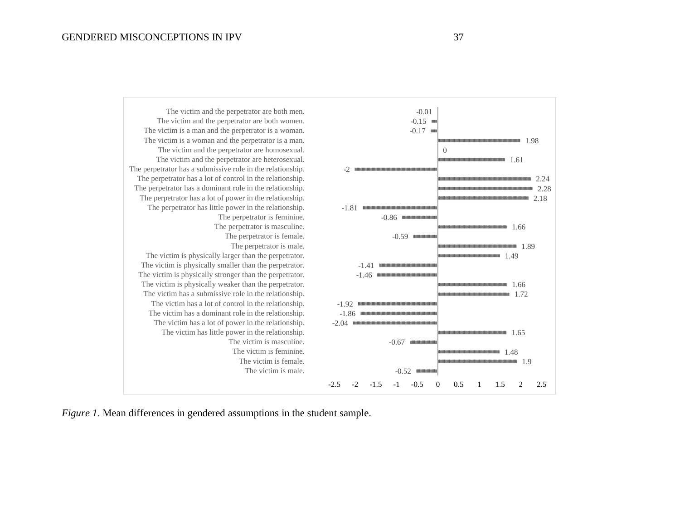

*Figure 1*. Mean differences in gendered assumptions in the student sample.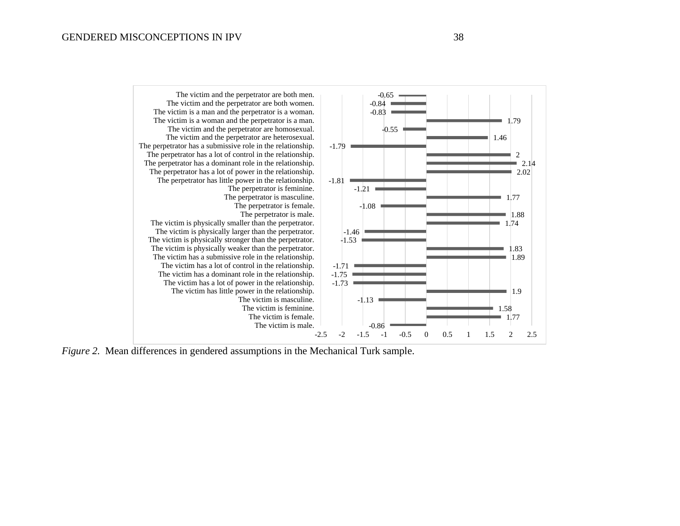

*Figure 2.* Mean differences in gendered assumptions in the Mechanical Turk sample.